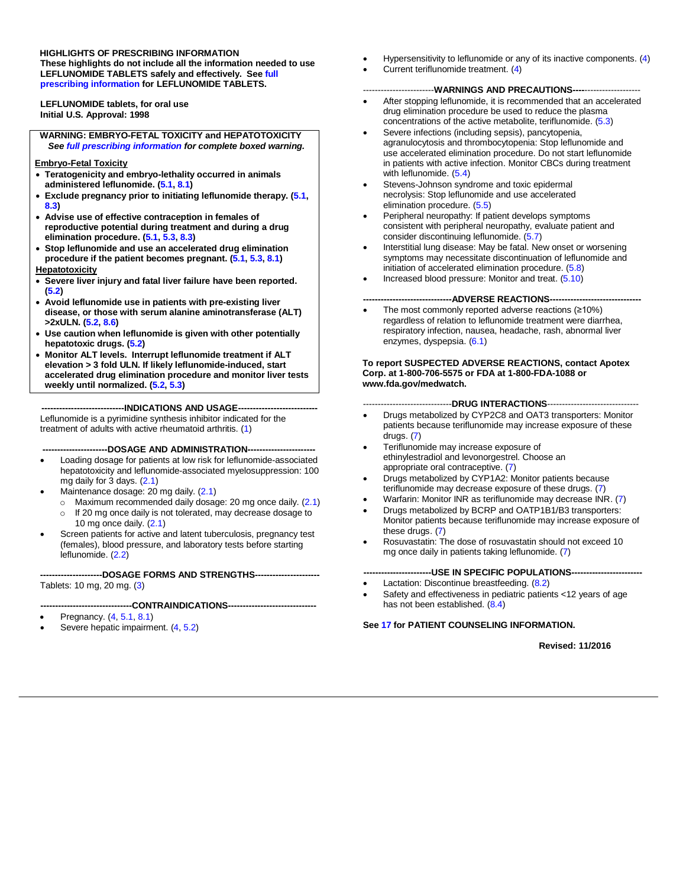**HIGHLIGHTS OF PRESCRIBING INFORMATION**

**These highlights do not include all the information needed to use LEFLUNOMIDE TABLETS safely and effectively. See [full](#page-2-0) prescribing [information](#page-2-0) for LEFLUNOMIDE TABLETS.**

**LEFLUNOMIDE tablets, for oral use Initial U.S. Approval: 1998**

**WARNING: EMBRYO-FETAL TOXICITY and HEPATOTOXICITY** *See full prescribing [information](#page-2-0) for complete boxed warning.*

#### **Embryo-Fetal Toxicity**

- **Teratogenicity and embryo-lethality occurred in animals administered leflunomide. [\(5.1,](#page-3-0) [8.1\)](#page-11-0)**
- **Exclude pregnancy prior to initiating leflunomide therapy. [\(5.1,](#page-3-0) [8.3\)](#page-12-0)**
- **Advise use of effective contraception in females of reproductive potential during treatment and during a drug elimination procedure. [\(5.1,](#page-3-0) [5.3,](#page-4-0) [8.3\)](#page-12-0)**
- **Stop leflunomide and use an accelerated drug elimination procedure if the patient becomes pregnant. [\(5.1,](#page-3-0) [5.3,](#page-4-0) [8.1\)](#page-11-0)**

#### **Hepatotoxicity**

- **Severe liver injury and fatal liver failure have been reported. [\(5.2\)](#page-4-1)**
- **Avoid leflunomide use in patients with pre-existing liver disease, or those with serum alanine aminotransferase (ALT) >2xULN. [\(5.2,](#page-4-1) [8.6\)](#page-13-0)**
- **Use caution when leflunomide is given with other potentially hepatotoxic drugs. [\(5.2\)](#page-4-1)**
- **Monitor ALT levels. Interrupt leflunomide treatment if ALT elevation > 3 fold ULN. If likely leflunomide-induced, start accelerated drug elimination procedure and monitor liver tests weekly until normalized. [\(5.2,](#page-4-1) [5.3\)](#page-4-0)**

**----------------------------INDICATIONS AND USAGE---------------------------** Leflunomide is a pyrimidine synthesis inhibitor indicated for the

treatment of adults with active rheumatoid arthritis. [\(1\)](#page-2-1)

#### **----------------------DOSAGE AND ADMINISTRATION-----------------------**

- Loading dosage for patients at low risk for leflunomide-associated hepatotoxicity and leflunomide-associated myelosuppression: 100 mg daily for 3 days. [\(2.1\)](#page-2-2)
- Maintenance dosage: 20 mg daily. [\(2.1\)](#page-2-2)
	- $\circ$  Maximum recommended daily dosage: 20 mg once daily. [\(2.1\)](#page-2-2)
	- o If 20 mg once daily is not tolerated, may decrease dosage to 10 mg once daily. [\(2.1\)](#page-2-2)
- Screen patients for active and latent tuberculosis, pregnancy test (females), blood pressure, and laboratory tests before starting leflunomide. [\(2.2\)](#page-3-1)

**---------------------DOSAGE FORMS AND STRENGTHS----------------------** Tablets: 10 mg, 20 mg. [\(3\)](#page-3-2)

#### **-------------------------------CONTRAINDICATIONS------------------------------**

- Pregnancy. [\(4,](#page-3-3) [5.1,](#page-3-0) [8.1\)](#page-11-0)
- Severe hepatic impairment. [\(4,](#page-3-3) [5.2\)](#page-4-1)
- Hypersensitivity to leflunomide or any of its inactive components. [\(4\)](#page-3-3)
- Current teriflunomide treatment. [\(4\)](#page-3-3)

#### ------------------------**WARNINGS AND PRECAUTIONS----**-------------------

- After stopping leflunomide, it is recommended that an accelerated drug elimination procedure be used to reduce the plasma concentrations of the active metabolite, teriflunomide. [\(5.3\)](#page-4-0)
- Severe infections (including sepsis), pancytopenia, agranulocytosis and thrombocytopenia: Stop leflunomide and use accelerated elimination procedure. Do not start leflunomide in patients with active infection. Monitor CBCs during treatment with leflunomide. [\(5.4\)](#page-5-0)
- Stevens-Johnson syndrome and toxic epidermal necrolysis: Stop leflunomide and use accelerated elimination procedure. [\(5.5\)](#page-6-0)
- Peripheral neuropathy: If patient develops symptoms consistent with peripheral neuropathy, evaluate patient and consider discontinuing leflunomide. [\(5.7\)](#page-6-1)
- Interstitial lung disease: May be fatal. New onset or worsening symptoms may necessitate discontinuation of leflunomide and initiation of accelerated elimination procedure. [\(5.8\)](#page-6-2)
- Increased blood pressure: Monitor and treat. [\(5.10\)](#page-6-3)

#### ---ADVERSE REACTIONS---

 The most commonly reported adverse reactions (≥10%) regardless of relation to leflunomide treatment were diarrhea, respiratory infection, nausea, headache, rash, abnormal liver enzymes, dyspepsia. [\(6.1\)](#page-7-0)

#### **To report SUSPECTED ADVERSE REACTIONS, contact Apotex Corp. at 1-800-706-5575 or FDA at 1-800-FDA-1088 or www.fda.gov/medwatch.**

#### ------------------------------**DRUG INTERACTIONS**-------------------------------

- Drugs metabolized by CYP2C8 and OAT3 transporters: Monitor patients because teriflunomide may increase exposure of these drugs. [\(7\)](#page-10-0)
- Teriflunomide may increase exposure of ethinylestradiol and levonorgestrel. Choose an appropriate oral contraceptive. [\(7\)](#page-10-0)
- Drugs metabolized by CYP1A2: Monitor patients because teriflunomide may decrease exposure of these drugs. [\(7\)](#page-10-0)
- Warfarin: Monitor INR as teriflunomide may decrease INR. [\(7\)](#page-10-0)
- Drugs metabolized by BCRP and OATP1B1/B3 transporters: Monitor patients because teriflunomide may increase exposure of these drugs. [\(7\)](#page-10-0)
- Rosuvastatin: The dose of rosuvastatin should not exceed 10 mg once daily in patients taking leflunomide. [\(7\)](#page-10-0)

#### **-----------------------USE IN SPECIFIC POPULATIONS------------------------**

- Lactation: Discontinue breastfeeding. [\(8.2\)](#page-12-1)
- Safety and effectiveness in pediatric patients <12 years of age has not been established. [\(8.4\)](#page-12-2)

#### **See [17](#page-23-0) for PATIENT COUNSELING INFORMATION.**

#### **Revised: 11/2016**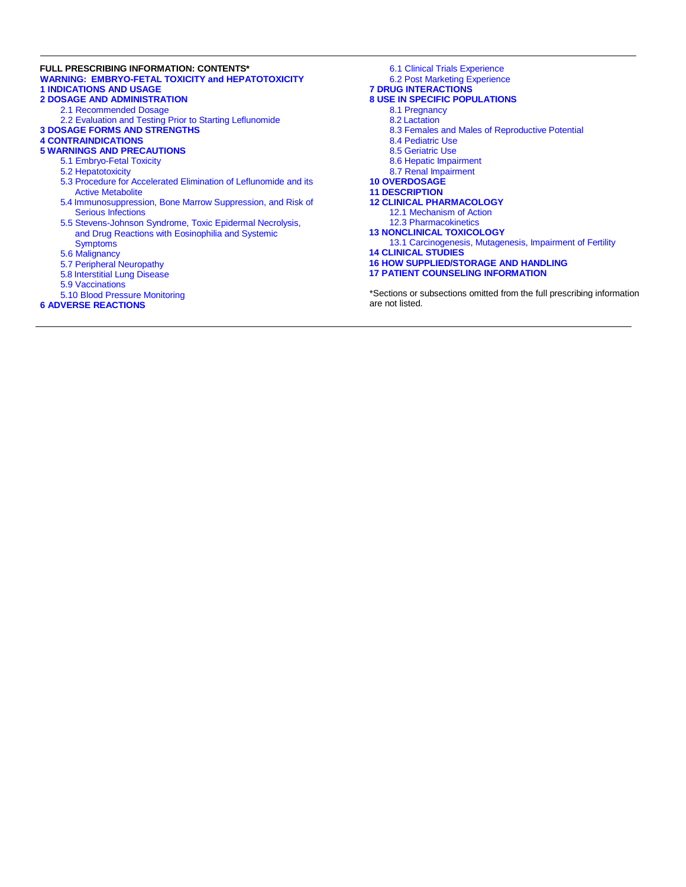#### **FULL PRESCRIBING INFORMATION: CONTENTS\* WARNING: EMBRYO-FETAL TOXICITY [and HEPATOTOXICITY](#page-2-3) 1 [INDICATIONS AND](#page-2-1) USAGE 2 DOSAGE AND [ADMINISTRATION](#page-2-4)**

- [2.1 Recommended](#page-2-2) Dosage
- [2.2 Evaluation](#page-3-1) and Testing Prior to Starting Leflunomide
- **3 DOSAGE FORMS AND [STRENGTHS](#page-3-2)**

#### **[4 CONTRAINDICATIONS](#page-3-3)**

#### **5 WARNINGS AND [PRECAUTIONS](#page-3-4)**

- [5.1 Embryo-Fetal](#page-3-0) Toxicity
- [5.2 Hepatotoxicity](#page-4-1)
- [5.3 Procedure](#page-4-0) for Accelerated Elimination of Leflunomide and its [Active Metabolite](#page-4-0)
- [5.4 Immunosuppression,](#page-5-0) Bone Marrow Suppression, and Risk of Serious [Infections](#page-5-0)
- [5.5 Stevens-Johnson](#page-6-0) Syndrome, Toxic Epidermal Necrolysis, [and Drug Reactions](#page-6-0) with Eosinophilia and Systemic **[Symptoms](#page-6-0)**
- [5.6 Malignancy](#page-6-4)
- [5.7 Peripheral](#page-6-1) Neuropathy
- [5.8 Interstitial](#page-6-2) Lung Disease
- [5.9 Vaccinations](#page-6-5)
- [5.10 Blood](#page-6-3) Pressure Monitoring

#### **6 ADVERSE [REACTIONS](#page-6-6)**

6.1 Clinical [Trials Experience](#page-7-0) 6.2 Post Marketing [Experience](#page-9-0) **[7 DRUG INTERACTIONS](#page-10-0) 8 USE IN SPECIFIC [POPULATIONS](#page-11-1)** [8.1 Pregnancy](#page-11-0) [8.2 Lactation](#page-12-1) [8.3 Females and Males of](#page-12-0) Reproductive Potential [8.4 Pediatric](#page-12-2) Use [8.5 Geriatric](#page-13-1) Use [8.6 Hepatic](#page-13-0) Impairment 8.7 Renal [Impairment](#page-13-2) **[10 OVERDOSAGE](#page-13-3) [11 DESCRIPTION](#page-13-4) 12 CLINICAL [PHARMACOLOGY](#page-14-0)** [12.1 Mechanism of](#page-14-1) Action [12.3 Pharmacokinetics](#page-14-2) **[13 NONCLINICAL](#page-16-0) TOXICOLOGY** [13.1 Carcinogenesis,](#page-16-1) Mutagenesis, Impairment of Fertility **[14 CLINICAL](#page-16-2) STUDIES 16 HOW [SUPPLIED/STORAGE](#page-23-1) AND HANDLING 17 PATIENT [COUNSELING INFORMATION](#page-23-0)**

\*Sections or subsections omitted from the full prescribing information are not listed.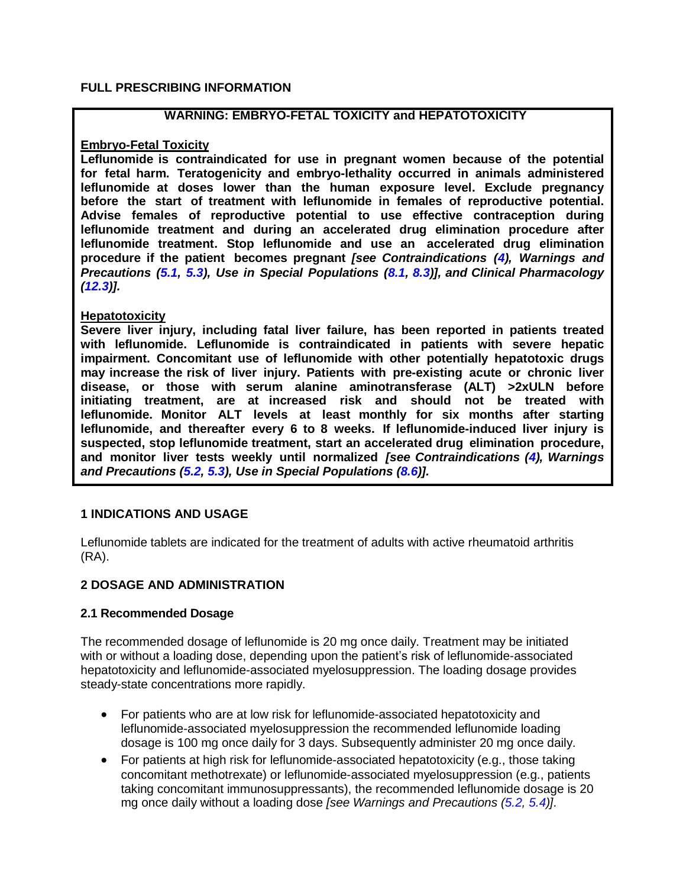### <span id="page-2-0"></span>**FULL PRESCRIBING INFORMATION**

### **WARNING: EMBRYO-FETAL TOXICITY and HEPATOTOXICITY**

#### <span id="page-2-3"></span>**Embryo-Fetal Toxicity**

**Leflunomide is contraindicated for use in pregnant women because of the potential for fetal harm. Teratogenicity and embryo-lethality occurred in animals administered leflunomide at doses lower than the human exposure level. Exclude pregnancy before the start of treatment with leflunomide in females of reproductive potential. Advise females of reproductive potential to use effective contraception during leflunomide treatment and during an accelerated drug elimination procedure after leflunomide treatment. Stop leflunomide and use an accelerated drug elimination procedure if the patient becomes pregnant** *[see Contraindications [\(4\)](#page-3-3), Warnings and Precautions [\(5.1,](#page-3-0) [5.3\)](#page-4-0), Use in Special Populations [\(8.1,](#page-11-0) [8.3\)](#page-12-0)], and Clinical Pharmacology [\(12.3\)](#page-14-2)].*

### **Hepatotoxicity**

**Severe liver injury, including fatal liver failure, has been reported in patients treated with leflunomide. Leflunomide is contraindicated in patients with severe hepatic impairment. Concomitant use of leflunomide with other potentially hepatotoxic drugs may increase the risk of liver injury. Patients with pre-existing acute or chronic liver disease, or those with serum alanine aminotransferase (ALT) >2xULN before initiating treatment, are at increased risk and should not be treated with leflunomide. Monitor ALT levels at least monthly for six months after starting leflunomide, and thereafter every 6 to 8 weeks. If leflunomide-induced liver injury is suspected, stop leflunomide treatment, start an accelerated drug elimination procedure, and monitor liver tests weekly until normalized** *[see Contraindications [\(4\)](#page-3-3), Warnings and Precautions [\(5.2,](#page-4-1) [5.3\)](#page-4-0), Use in Special Populations [\(8.6\)](#page-13-0)].*

## <span id="page-2-1"></span>**1 INDICATIONS AND USAGE**

Leflunomide tablets are indicated for the treatment of adults with active rheumatoid arthritis (RA).

### <span id="page-2-4"></span>**2 DOSAGE AND ADMINISTRATION**

#### <span id="page-2-2"></span>**2.1 Recommended Dosage**

The recommended dosage of leflunomide is 20 mg once daily. Treatment may be initiated with or without a loading dose, depending upon the patient's risk of leflunomide-associated hepatotoxicity and leflunomide-associated myelosuppression. The loading dosage provides steady-state concentrations more rapidly.

- For patients who are at low risk for leflunomide-associated hepatotoxicity and leflunomide-associated myelosuppression the recommended leflunomide loading dosage is 100 mg once daily for 3 days. Subsequently administer 20 mg once daily.
- For patients at high risk for leflunomide-associated hepatotoxicity (e.g., those taking concomitant methotrexate) or leflunomide-associated myelosuppression (e.g., patients taking concomitant immunosuppressants), the recommended leflunomide dosage is 20 mg once daily without a loading dose *[see Warnings and Precautions [\(5.2,](#page-4-1) [5.4\)](#page-5-0)].*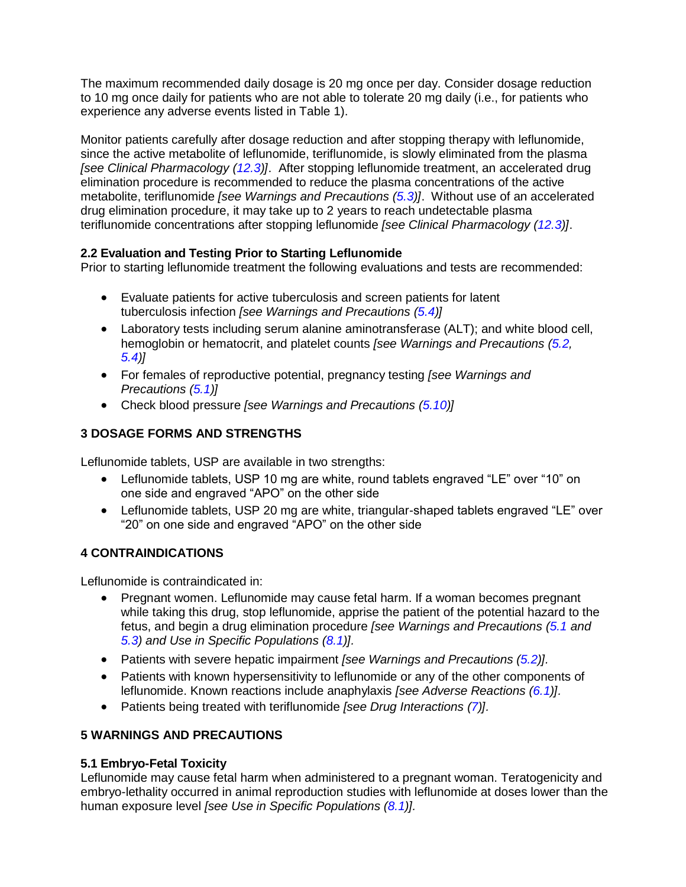The maximum recommended daily dosage is 20 mg once per day. Consider dosage reduction to 10 mg once daily for patients who are not able to tolerate 20 mg daily (i.e., for patients who experience any adverse events listed in Table 1).

Monitor patients carefully after dosage reduction and after stopping therapy with leflunomide, since the active metabolite of leflunomide, teriflunomide, is slowly eliminated from the plasma *[see Clinical Pharmacology [\(12.3\)](#page-14-2)]*. After stopping leflunomide treatment, an accelerated drug elimination procedure is recommended to reduce the plasma concentrations of the active metabolite, teriflunomide *[see Warnings and Precautions [\(5.3\)](#page-4-0)]*. Without use of an accelerated drug elimination procedure, it may take up to 2 years to reach undetectable plasma teriflunomide concentrations after stopping leflunomide *[see Clinical Pharmacology [\(12.3\)](#page-14-2)]*.

## <span id="page-3-1"></span>**2.2 Evaluation and Testing Prior to Starting Leflunomide**

Prior to starting leflunomide treatment the following evaluations and tests are recommended:

- Evaluate patients for active tuberculosis and screen patients for latent tuberculosis infection *[see Warnings and Precautions [\(5.4\)](#page-5-0)]*
- Laboratory tests including serum alanine aminotransferase (ALT); and white blood cell, hemoglobin or hematocrit, and platelet counts *[see Warnings and Precautions [\(5.2,](#page-4-1) [5.4\)](#page-5-0)]*
- For females of reproductive potential, pregnancy testing *[see Warnings and Precautions [\(5.1\)](#page-3-0)]*
- Check blood pressure *[see Warnings and Precautions [\(5.10\)](#page-6-3)]*

## <span id="page-3-2"></span>**3 DOSAGE FORMS AND STRENGTHS**

Leflunomide tablets, USP are available in two strengths:

- Leflunomide tablets, USP 10 mg are white, round tablets engraved "LE" over "10" on one side and engraved "APO" on the other side
- Leflunomide tablets, USP 20 mg are white, triangular-shaped tablets engraved "LE" over "20" on one side and engraved "APO" on the other side

## <span id="page-3-3"></span>**4 CONTRAINDICATIONS**

Leflunomide is contraindicated in:

- Pregnant women. Leflunomide may cause fetal harm. If a woman becomes pregnant while taking this drug, stop leflunomide, apprise the patient of the potential hazard to the fetus, and begin a drug elimination procedure *[see Warnings and Precautions [\(5.1](#page-3-0) and [5.3\)](#page-4-0) and Use in Specific Populations [\(8.1\)](#page-11-0)].*
- Patients with severe hepatic impairment *[see Warnings and Precautions [\(5.2\)](#page-4-1)].*
- Patients with known hypersensitivity to leflunomide or any of the other components of leflunomide. Known reactions include anaphylaxis *[see Adverse Reactions [\(6.1\)](#page-7-0)].*
- Patients being treated with teriflunomide *[see Drug Interactions [\(7\)](#page-10-0)].*

## <span id="page-3-4"></span>**5 WARNINGS AND PRECAUTIONS**

## <span id="page-3-0"></span>**5.1 Embryo-Fetal Toxicity**

Leflunomide may cause fetal harm when administered to a pregnant woman. Teratogenicity and embryo-lethality occurred in animal reproduction studies with leflunomide at doses lower than the human exposure level *[see Use in Specific Populations [\(8.1\)](#page-11-0)].*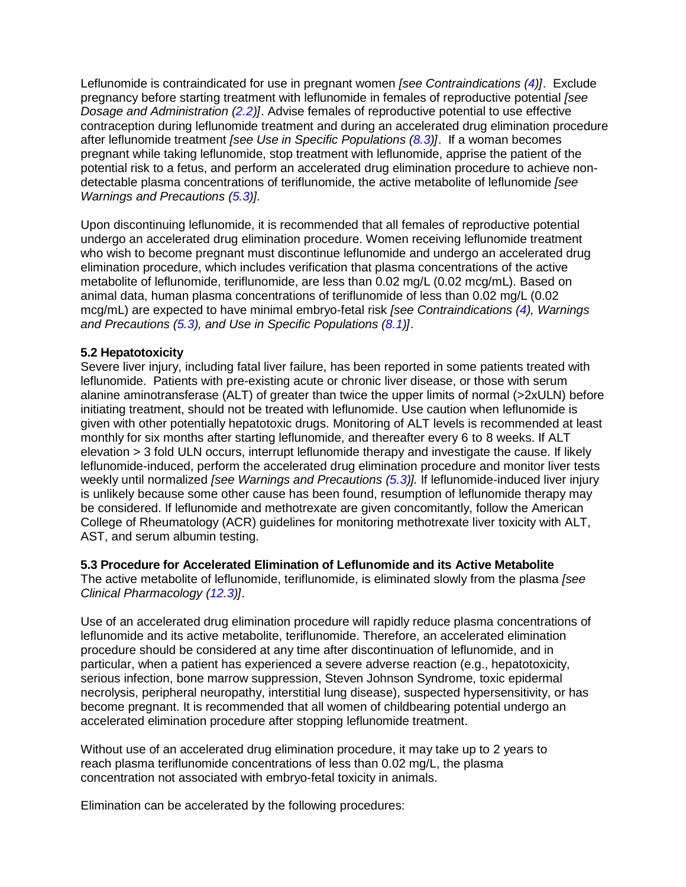Leflunomide is contraindicated for use in pregnant women *[see Contraindications [\(4\)](#page-3-3)]*. Exclude pregnancy before starting treatment with leflunomide in females of reproductive potential *[see Dosage and Administration [\(2.2\)](#page-3-1)]*. Advise females of reproductive potential to use effective contraception during leflunomide treatment and during an accelerated drug elimination procedure after leflunomide treatment *[see Use in Specific Populations [\(8.3\)](#page-12-0)]*. If a woman becomes pregnant while taking leflunomide, stop treatment with leflunomide, apprise the patient of the potential risk to a fetus, and perform an accelerated drug elimination procedure to achieve nondetectable plasma concentrations of teriflunomide, the active metabolite of leflunomide *[see Warnings and Precautions [\(5.3\)](#page-4-0)].*

Upon discontinuing leflunomide, it is recommended that all females of reproductive potential undergo an accelerated drug elimination procedure. Women receiving leflunomide treatment who wish to become pregnant must discontinue leflunomide and undergo an accelerated drug elimination procedure, which includes verification that plasma concentrations of the active metabolite of leflunomide, teriflunomide, are less than 0.02 mg/L (0.02 mcg/mL). Based on animal data, human plasma concentrations of teriflunomide of less than 0.02 mg/L (0.02 mcg/mL) are expected to have minimal embryo-fetal risk *[see Contraindications [\(4\)](#page-3-3), Warnings and Precautions [\(5.3\)](#page-4-0), and Use in Specific Populations [\(8.1\)](#page-11-0)]*.

### <span id="page-4-1"></span>**5.2 Hepatotoxicity**

Severe liver injury, including fatal liver failure, has been reported in some patients treated with leflunomide. Patients with pre-existing acute or chronic liver disease, or those with serum alanine aminotransferase (ALT) of greater than twice the upper limits of normal (>2xULN) before initiating treatment, should not be treated with leflunomide. Use caution when leflunomide is given with other potentially hepatotoxic drugs. Monitoring of ALT levels is recommended at least monthly for six months after starting leflunomide, and thereafter every 6 to 8 weeks. If ALT elevation > 3 fold ULN occurs, interrupt leflunomide therapy and investigate the cause. If likely leflunomide-induced, perform the accelerated drug elimination procedure and monitor liver tests weekly until normalized *[see Warnings and Precautions [\(5.3\)](#page-4-0)].* If leflunomide-induced liver injury is unlikely because some other cause has been found, resumption of leflunomide therapy may be considered. If leflunomide and methotrexate are given concomitantly, follow the American College of Rheumatology (ACR) guidelines for monitoring methotrexate liver toxicity with ALT, AST, and serum albumin testing.

#### <span id="page-4-0"></span>**5.3 Procedure for Accelerated Elimination of Leflunomide and its Active Metabolite**

The active metabolite of leflunomide, teriflunomide, is eliminated slowly from the plasma *[see Clinical Pharmacology [\(12.3\)](#page-14-2)]*.

Use of an accelerated drug elimination procedure will rapidly reduce plasma concentrations of leflunomide and its active metabolite, teriflunomide. Therefore, an accelerated elimination procedure should be considered at any time after discontinuation of leflunomide, and in particular, when a patient has experienced a severe adverse reaction (e.g., hepatotoxicity, serious infection, bone marrow suppression, Steven Johnson Syndrome, toxic epidermal necrolysis, peripheral neuropathy, interstitial lung disease), suspected hypersensitivity, or has become pregnant. It is recommended that all women of childbearing potential undergo an accelerated elimination procedure after stopping leflunomide treatment.

Without use of an accelerated drug elimination procedure, it may take up to 2 years to reach plasma teriflunomide concentrations of less than 0.02 mg/L, the plasma concentration not associated with embryo-fetal toxicity in animals.

Elimination can be accelerated by the following procedures: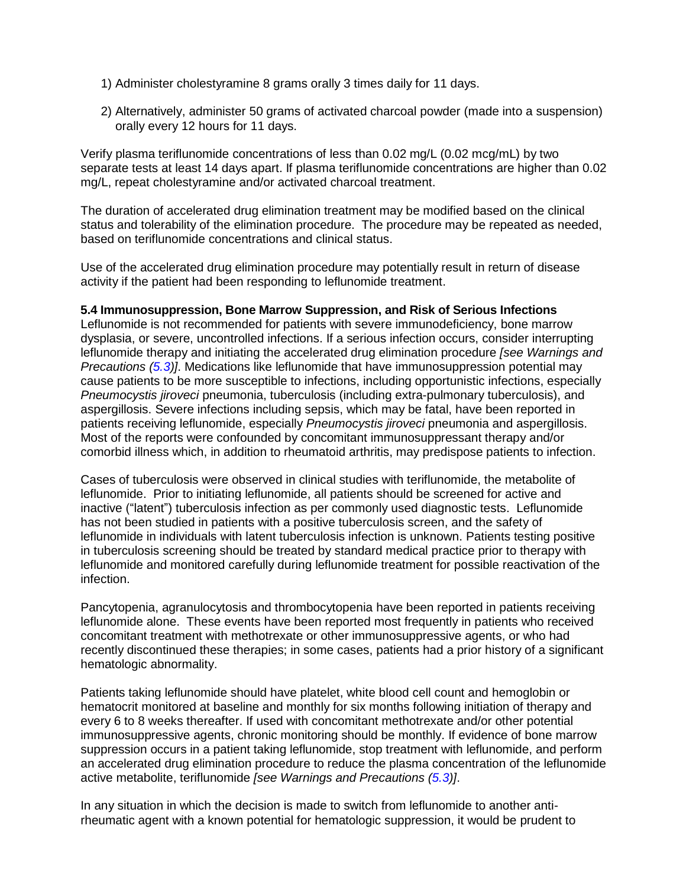- 1) Administer cholestyramine 8 grams orally 3 times daily for 11 days.
- 2) Alternatively, administer 50 grams of activated charcoal powder (made into a suspension) orally every 12 hours for 11 days.

Verify plasma teriflunomide concentrations of less than 0.02 mg/L (0.02 mcg/mL) by two separate tests at least 14 days apart. If plasma teriflunomide concentrations are higher than 0.02 mg/L, repeat cholestyramine and/or activated charcoal treatment.

The duration of accelerated drug elimination treatment may be modified based on the clinical status and tolerability of the elimination procedure. The procedure may be repeated as needed, based on teriflunomide concentrations and clinical status.

Use of the accelerated drug elimination procedure may potentially result in return of disease activity if the patient had been responding to leflunomide treatment.

### <span id="page-5-0"></span>**5.4 Immunosuppression, Bone Marrow Suppression, and Risk of Serious Infections**

Leflunomide is not recommended for patients with severe immunodeficiency, bone marrow dysplasia, or severe, uncontrolled infections. If a serious infection occurs, consider interrupting leflunomide therapy and initiating the accelerated drug elimination procedure *[see Warnings and Precautions [\(5.3\)](#page-4-0)]*. Medications like leflunomide that have immunosuppression potential may cause patients to be more susceptible to infections, including opportunistic infections, especially *Pneumocystis jiroveci* pneumonia, tuberculosis (including extra-pulmonary tuberculosis), and aspergillosis. Severe infections including sepsis, which may be fatal, have been reported in patients receiving leflunomide, especially *Pneumocystis jiroveci* pneumonia and aspergillosis. Most of the reports were confounded by concomitant immunosuppressant therapy and/or comorbid illness which, in addition to rheumatoid arthritis, may predispose patients to infection.

Cases of tuberculosis were observed in clinical studies with teriflunomide, the metabolite of leflunomide. Prior to initiating leflunomide, all patients should be screened for active and inactive ("latent") tuberculosis infection as per commonly used diagnostic tests. Leflunomide has not been studied in patients with a positive tuberculosis screen, and the safety of leflunomide in individuals with latent tuberculosis infection is unknown. Patients testing positive in tuberculosis screening should be treated by standard medical practice prior to therapy with leflunomide and monitored carefully during leflunomide treatment for possible reactivation of the infection.

Pancytopenia, agranulocytosis and thrombocytopenia have been reported in patients receiving leflunomide alone. These events have been reported most frequently in patients who received concomitant treatment with methotrexate or other immunosuppressive agents, or who had recently discontinued these therapies; in some cases, patients had a prior history of a significant hematologic abnormality.

Patients taking leflunomide should have platelet, white blood cell count and hemoglobin or hematocrit monitored at baseline and monthly for six months following initiation of therapy and every 6 to 8 weeks thereafter. If used with concomitant methotrexate and/or other potential immunosuppressive agents, chronic monitoring should be monthly. If evidence of bone marrow suppression occurs in a patient taking leflunomide, stop treatment with leflunomide, and perform an accelerated drug elimination procedure to reduce the plasma concentration of the leflunomide active metabolite, teriflunomide *[see Warnings and Precautions [\(5.3\)](#page-4-0)]*.

In any situation in which the decision is made to switch from leflunomide to another antirheumatic agent with a known potential for hematologic suppression, it would be prudent to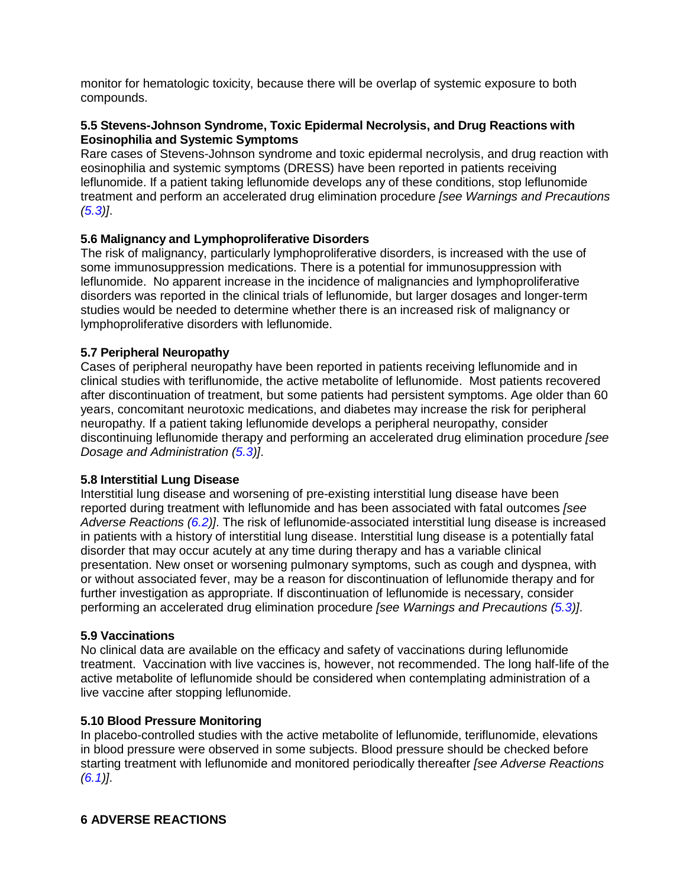monitor for hematologic toxicity, because there will be overlap of systemic exposure to both compounds.

## <span id="page-6-0"></span>**5.5 Stevens-Johnson Syndrome, Toxic Epidermal Necrolysis, and Drug Reactions with Eosinophilia and Systemic Symptoms**

Rare cases of Stevens-Johnson syndrome and toxic epidermal necrolysis, and drug reaction with eosinophilia and systemic symptoms (DRESS) have been reported in patients receiving leflunomide. If a patient taking leflunomide develops any of these conditions, stop leflunomide treatment and perform an accelerated drug elimination procedure *[see Warnings and Precautions [\(5.3\)](#page-4-0)]*.

## <span id="page-6-4"></span>**5.6 Malignancy and Lymphoproliferative Disorders**

The risk of malignancy, particularly lymphoproliferative disorders, is increased with the use of some immunosuppression medications. There is a potential for immunosuppression with leflunomide. No apparent increase in the incidence of malignancies and lymphoproliferative disorders was reported in the clinical trials of leflunomide, but larger dosages and longer-term studies would be needed to determine whether there is an increased risk of malignancy or lymphoproliferative disorders with leflunomide.

### <span id="page-6-1"></span>**5.7 Peripheral Neuropathy**

Cases of peripheral neuropathy have been reported in patients receiving leflunomide and in clinical studies with teriflunomide, the active metabolite of leflunomide. Most patients recovered after discontinuation of treatment, but some patients had persistent symptoms. Age older than 60 years, concomitant neurotoxic medications, and diabetes may increase the risk for peripheral neuropathy. If a patient taking leflunomide develops a peripheral neuropathy, consider discontinuing leflunomide therapy and performing an accelerated drug elimination procedure *[see Dosage and Administration [\(5.3\)](#page-4-0)]*.

#### <span id="page-6-2"></span>**5.8 Interstitial Lung Disease**

Interstitial lung disease and worsening of pre-existing interstitial lung disease have been reported during treatment with leflunomide and has been associated with fatal outcomes *[see Adverse Reactions [\(6.2\)](#page-9-0)]*. The risk of leflunomide-associated interstitial lung disease is increased in patients with a history of interstitial lung disease. Interstitial lung disease is a potentially fatal disorder that may occur acutely at any time during therapy and has a variable clinical presentation. New onset or worsening pulmonary symptoms, such as cough and dyspnea, with or without associated fever, may be a reason for discontinuation of leflunomide therapy and for further investigation as appropriate. If discontinuation of leflunomide is necessary, consider performing an accelerated drug elimination procedure *[see Warnings and Precautions [\(5.3\)](#page-4-0)]*.

#### <span id="page-6-5"></span>**5.9 Vaccinations**

No clinical data are available on the efficacy and safety of vaccinations during leflunomide treatment. Vaccination with live vaccines is, however, not recommended. The long half-life of the active metabolite of leflunomide should be considered when contemplating administration of a live vaccine after stopping leflunomide.

#### <span id="page-6-3"></span>**5.10 Blood Pressure Monitoring**

<span id="page-6-6"></span>In placebo-controlled studies with the active metabolite of leflunomide, teriflunomide, elevations in blood pressure were observed in some subjects. Blood pressure should be checked before starting treatment with leflunomide and monitored periodically thereafter *[see Adverse Reactions [\(6.1\)](#page-7-0)]*.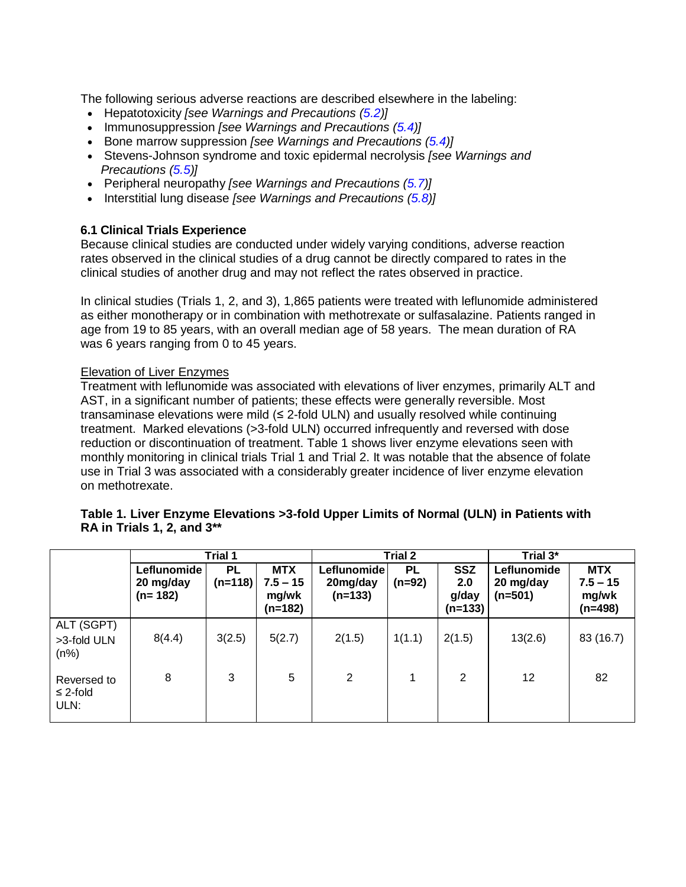The following serious adverse reactions are described elsewhere in the labeling:

- Hepatotoxicity *[see Warnings and Precautions [\(5.2\)](#page-4-1)]*
- Immunosuppression *[see Warnings and Precautions [\(5.4\)](#page-5-0)]*
- Bone marrow suppression *[see Warnings and Precautions [\(5.4\)](#page-5-0)]*
- Stevens-Johnson syndrome and toxic epidermal necrolysis *[see Warnings and Precautions [\(5.5\)](#page-6-0)]*
- Peripheral neuropathy *[see Warnings and Precautions [\(5.7\)](#page-6-1)]*
- Interstitial lung disease *[see Warnings and Precautions [\(5.8\)](#page-6-2)]*

## <span id="page-7-0"></span>**6.1 Clinical Trials Experience**

Because clinical studies are conducted under widely varying conditions, adverse reaction rates observed in the clinical studies of a drug cannot be directly compared to rates in the clinical studies of another drug and may not reflect the rates observed in practice.

In clinical studies (Trials 1, 2, and 3), 1,865 patients were treated with leflunomide administered as either monotherapy or in combination with methotrexate or sulfasalazine. Patients ranged in age from 19 to 85 years, with an overall median age of 58 years. The mean duration of RA was 6 years ranging from 0 to 45 years.

## Elevation of Liver Enzymes

Treatment with leflunomide was associated with elevations of liver enzymes, primarily ALT and AST, in a significant number of patients; these effects were generally reversible. Most transaminase elevations were mild (≤ 2-fold ULN) and usually resolved while continuing treatment. Marked elevations (>3-fold ULN) occurred infrequently and reversed with dose reduction or discontinuation of treatment. Table 1 shows liver enzyme elevations seen with monthly monitoring in clinical trials Trial 1 and Trial 2. It was notable that the absence of folate use in Trial 3 was associated with a considerably greater incidence of liver enzyme elevation on methotrexate.

### **Table 1. Liver Enzyme Elevations >3-fold Upper Limits of Normal (ULN) in Patients with RA in Trials 1, 2, and 3\*\***

|                                      |                                       | Trial 1         |                                                | Trial 2                              |                |                                         | Trial 3*                              |                                                |
|--------------------------------------|---------------------------------------|-----------------|------------------------------------------------|--------------------------------------|----------------|-----------------------------------------|---------------------------------------|------------------------------------------------|
|                                      | Leflunomide<br>20 mg/day<br>$(n=182)$ | PL<br>$(n=118)$ | <b>MTX</b><br>$7.5 - 15$<br>mg/wk<br>$(n=182)$ | Leflunomide<br>20mg/day<br>$(n=133)$ | PL<br>$(n=92)$ | <b>SSZ</b><br>2.0<br>g/day<br>$(n=133)$ | Leflunomide<br>20 mg/day<br>$(n=501)$ | <b>MTX</b><br>$7.5 - 15$<br>mg/wk<br>$(n=498)$ |
| ALT (SGPT)<br>>3-fold ULN<br>$(n\%)$ | 8(4.4)                                | 3(2.5)          | 5(2.7)                                         | 2(1.5)                               | 1(1.1)         | 2(1.5)                                  | 13(2.6)                               | 83 (16.7)                                      |
| Reversed to<br>$\leq$ 2-fold<br>ULN: | 8                                     | 3               | 5                                              | 2                                    | 1              | 2                                       | 12                                    | 82                                             |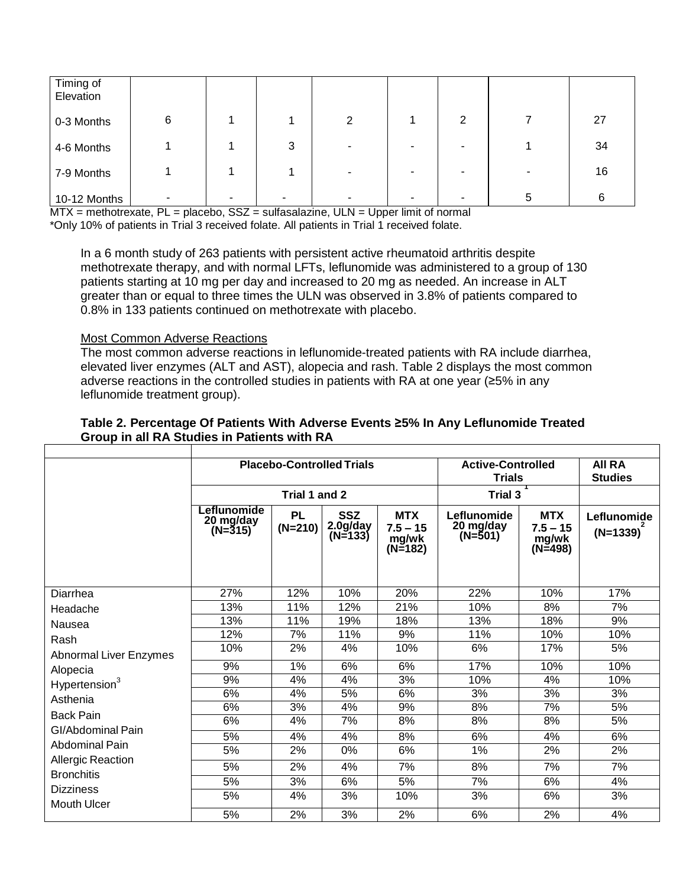| Timing of<br>Elevation |   |   |        |                |   |   |    |
|------------------------|---|---|--------|----------------|---|---|----|
| 0-3 Months             | 6 |   | 2      |                | ົ |   | 27 |
| 4-6 Months             |   | 3 | $\sim$ | $\blacksquare$ |   |   | 34 |
| 7-9 Months             |   |   | ۰.     | -              |   | - | 16 |
| 10-12 Months           |   |   | ۰      | -              |   | 5 | 6  |

MTX = methotrexate, PL = placebo, SSZ = sulfasalazine, ULN = Upper limit of normal \*Only 10% of patients in Trial 3 received folate. All patients in Trial 1 received folate.

In a 6 month study of 263 patients with persistent active rheumatoid arthritis despite methotrexate therapy, and with normal LFTs, leflunomide was administered to a group of 130 patients starting at 10 mg per day and increased to 20 mg as needed. An increase in ALT greater than or equal to three times the ULN was observed in 3.8% of patients compared to 0.8% in 133 patients continued on methotrexate with placebo.

## Most Common Adverse Reactions

Г

The most common adverse reactions in leflunomide-treated patients with RA include diarrhea, elevated liver enzymes (ALT and AST), alopecia and rash. Table 2 displays the most common adverse reactions in the controlled studies in patients with RA at one year (≥5% in any leflunomide treatment group).

|                                        |                                     |                        | <b>Placebo-Controlled Trials</b>  | <b>Active-Controlled</b><br><b>Trials</b>    | <b>AII RA</b><br><b>Studies</b>     |                                              |                           |
|----------------------------------------|-------------------------------------|------------------------|-----------------------------------|----------------------------------------------|-------------------------------------|----------------------------------------------|---------------------------|
|                                        |                                     | Trial 1 and 2          |                                   |                                              | Trial 3                             |                                              |                           |
|                                        | Leflunomide<br>20 mg/day<br>(N=315) | <b>PL</b><br>$(N=210)$ | <b>SSZ</b><br>2.0g/day<br>(N=133) | <b>MTX</b><br>$7.5 - 15$<br>mg/wk<br>(N=182) | Leflunomide<br>20 mg/day<br>(N=501) | <b>MTX</b><br>$7.5 - 15$<br>mg/wk<br>(N=498) | Leflunomide<br>$(N=1339)$ |
| Diarrhea                               | 27%                                 | 12%                    | 10%                               | 20%                                          | 22%                                 | 10%                                          | 17%                       |
| Headache                               | 13%                                 | 11%                    | 12%                               | 21%                                          | 10%                                 | 8%                                           | 7%                        |
| Nausea                                 | 13%                                 | 11%                    | 19%                               | 18%                                          | 13%                                 | 18%                                          | 9%                        |
| Rash                                   | 12%                                 | 7%                     | 11%                               | 9%                                           | 11%                                 | 10%                                          | 10%                       |
| <b>Abnormal Liver Enzymes</b>          | 10%                                 | 2%                     | 4%                                | 10%                                          | 6%                                  | 17%                                          | 5%                        |
| Alopecia                               | 9%                                  | 1%                     | 6%                                | 6%                                           | 17%                                 | 10%                                          | 10%                       |
| Hypertension <sup>3</sup>              | 9%                                  | 4%                     | 4%                                | 3%                                           | 10%                                 | 4%                                           | 10%                       |
| Asthenia                               | 6%                                  | 4%                     | 5%                                | 6%                                           | 3%                                  | 3%                                           | 3%                        |
| <b>Back Pain</b>                       | 6%                                  | 3%                     | 4%                                | 9%                                           | 8%                                  | $\overline{7\%}$                             | 5%                        |
| GI/Abdominal Pain                      | 6%                                  | 4%                     | 7%                                | 8%                                           | 8%                                  | 8%                                           | 5%                        |
|                                        | 5%                                  | 4%                     | 4%                                | 8%                                           | 6%                                  | $4\%$                                        | 6%                        |
| Abdominal Pain                         | 5%                                  | 2%                     | 0%                                | 6%                                           | 1%                                  | 2%                                           | 2%                        |
| <b>Allergic Reaction</b>               | 5%                                  | 2%                     | 4%                                | 7%                                           | 8%                                  | $\overline{7\%}$                             | 7%                        |
| <b>Bronchitis</b>                      | 5%                                  | 3%                     | 6%                                | 5%                                           | 7%                                  | 6%                                           | 4%                        |
| <b>Dizziness</b><br><b>Mouth Ulcer</b> | 5%                                  | 4%                     | 3%                                | 10%                                          | 3%                                  | 6%                                           | 3%                        |
|                                        | 5%                                  | 2%                     | 3%                                | 2%                                           | 6%                                  | 2%                                           | 4%                        |

## **Table 2. Percentage Of Patients With Adverse Events ≥5% In Any Leflunomide Treated Group in all RA Studies in Patients with RA**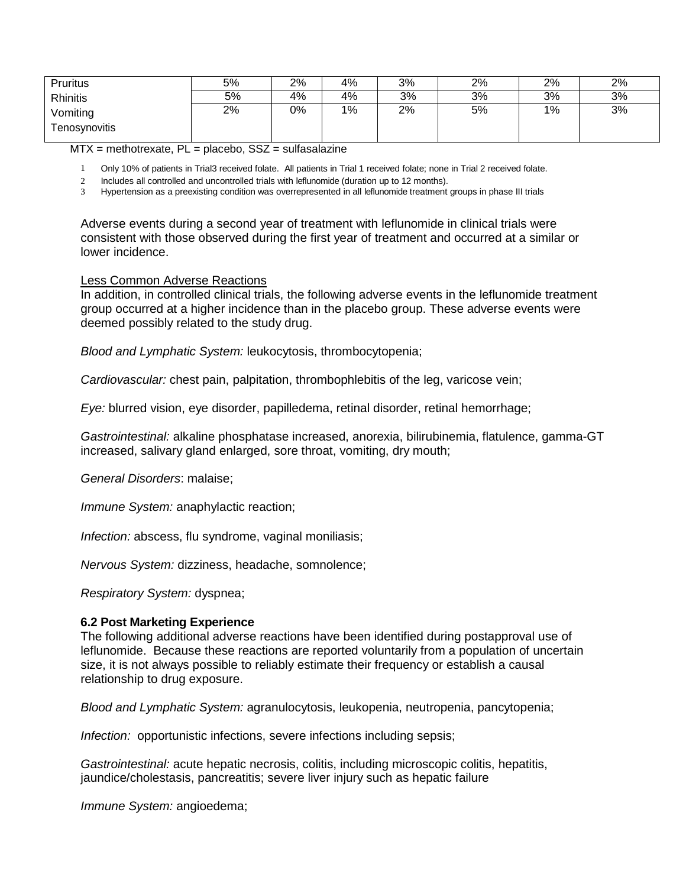| <b>Pruritus</b> | 5% | 2% | 4% | 3% | 2% | 2% | 2% |
|-----------------|----|----|----|----|----|----|----|
| Rhinitis        | 5% | 4% | 4% | 3% | 3% | 3% | 3% |
| Vomiting        | 2% | 0% | 1% | 2% | 5% | 1% | 3% |
| Tenosynovitis   |    |    |    |    |    |    |    |

 $MTX$  = methotrexate,  $PL$  = placebo,  $SSZ$  = sulfasalazine

1 Only 10% of patients in Trial3 received folate. All patients in Trial 1 received folate; none in Trial 2 received folate.

2 Includes all controlled and uncontrolled trials with leflunomide (duration up to 12 months).

3 Hypertension as a preexisting condition was overrepresented in all leflunomide treatment groups in phase III trials

Adverse events during a second year of treatment with leflunomide in clinical trials were consistent with those observed during the first year of treatment and occurred at a similar or lower incidence.

#### Less Common Adverse Reactions

In addition, in controlled clinical trials, the following adverse events in the leflunomide treatment group occurred at a higher incidence than in the placebo group. These adverse events were deemed possibly related to the study drug.

*Blood and Lymphatic System:* leukocytosis, thrombocytopenia;

*Cardiovascular:* chest pain, palpitation, thrombophlebitis of the leg, varicose vein;

*Eye:* blurred vision, eye disorder, papilledema, retinal disorder, retinal hemorrhage;

*Gastrointestinal:* alkaline phosphatase increased, anorexia, bilirubinemia, flatulence, gamma-GT increased, salivary gland enlarged, sore throat, vomiting, dry mouth;

*General Disorders*: malaise;

*Immune System:* anaphylactic reaction;

*Infection:* abscess, flu syndrome, vaginal moniliasis;

*Nervous System:* dizziness, headache, somnolence;

*Respiratory System:* dyspnea;

#### <span id="page-9-0"></span>**6.2 Post Marketing Experience**

The following additional adverse reactions have been identified during postapproval use of leflunomide. Because these reactions are reported voluntarily from a population of uncertain size, it is not always possible to reliably estimate their frequency or establish a causal relationship to drug exposure.

*Blood and Lymphatic System:* agranulocytosis, leukopenia, neutropenia, pancytopenia;

*Infection:* opportunistic infections, severe infections including sepsis;

*Gastrointestinal:* acute hepatic necrosis, colitis, including microscopic colitis, hepatitis, jaundice/cholestasis, pancreatitis; severe liver injury such as hepatic failure

*Immune System:* angioedema;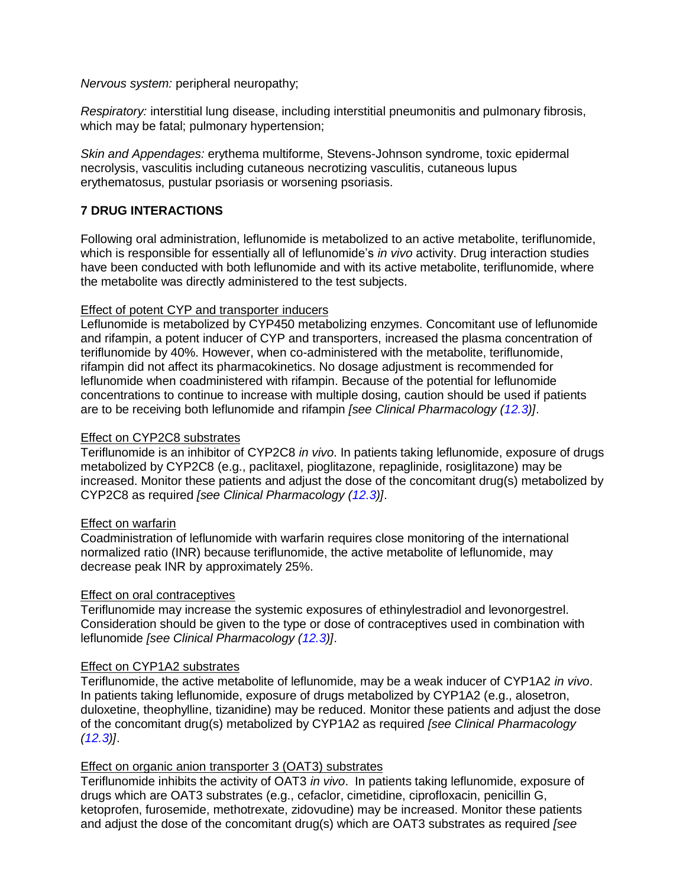*Nervous system:* peripheral neuropathy;

*Respiratory:* interstitial lung disease, including interstitial pneumonitis and pulmonary fibrosis, which may be fatal; pulmonary hypertension;

*Skin and Appendages:* erythema multiforme, Stevens-Johnson syndrome, toxic epidermal necrolysis, vasculitis including cutaneous necrotizing vasculitis, cutaneous lupus erythematosus, pustular psoriasis or worsening psoriasis.

## <span id="page-10-0"></span>**7 DRUG INTERACTIONS**

Following oral administration, leflunomide is metabolized to an active metabolite, teriflunomide, which is responsible for essentially all of leflunomide's *in vivo* activity. Drug interaction studies have been conducted with both leflunomide and with its active metabolite, teriflunomide, where the metabolite was directly administered to the test subjects.

## Effect of potent CYP and transporter inducers

Leflunomide is metabolized by CYP450 metabolizing enzymes. Concomitant use of leflunomide and rifampin, a potent inducer of CYP and transporters, increased the plasma concentration of teriflunomide by 40%. However, when co-administered with the metabolite, teriflunomide, rifampin did not affect its pharmacokinetics. No dosage adjustment is recommended for leflunomide when coadministered with rifampin. Because of the potential for leflunomide concentrations to continue to increase with multiple dosing, caution should be used if patients are to be receiving both leflunomide and rifampin *[see Clinical Pharmacology [\(12.3\)](#page-14-2)]*.

## Effect on CYP2C8 substrates

Teriflunomide is an inhibitor of CYP2C8 *in vivo*. In patients taking leflunomide, exposure of drugs metabolized by CYP2C8 (e.g., paclitaxel, pioglitazone, repaglinide, rosiglitazone) may be increased. Monitor these patients and adjust the dose of the concomitant drug(s) metabolized by CYP2C8 as required *[see Clinical Pharmacology [\(12.3\)](#page-14-2)]*.

## Effect on warfarin

Coadministration of leflunomide with warfarin requires close monitoring of the international normalized ratio (INR) because teriflunomide, the active metabolite of leflunomide, may decrease peak INR by approximately 25%.

## Effect on oral contraceptives

Teriflunomide may increase the systemic exposures of ethinylestradiol and levonorgestrel. Consideration should be given to the type or dose of contraceptives used in combination with leflunomide *[see Clinical Pharmacology [\(12.3\)](#page-14-2)]*.

#### Effect on CYP1A2 substrates

Teriflunomide, the active metabolite of leflunomide, may be a weak inducer of CYP1A2 *in vivo*. In patients taking leflunomide, exposure of drugs metabolized by CYP1A2 (e.g., alosetron, duloxetine, theophylline, tizanidine) may be reduced. Monitor these patients and adjust the dose of the concomitant drug(s) metabolized by CYP1A2 as required *[see Clinical Pharmacology [\(12.3\)](#page-14-2)]*.

## Effect on organic anion transporter 3 (OAT3) substrates

Teriflunomide inhibits the activity of OAT3 *in vivo*. In patients taking leflunomide, exposure of drugs which are OAT3 substrates (e.g., cefaclor, cimetidine, ciprofloxacin, penicillin G, ketoprofen, furosemide, methotrexate, zidovudine) may be increased. Monitor these patients and adjust the dose of the concomitant drug(s) which are OAT3 substrates as required *[see*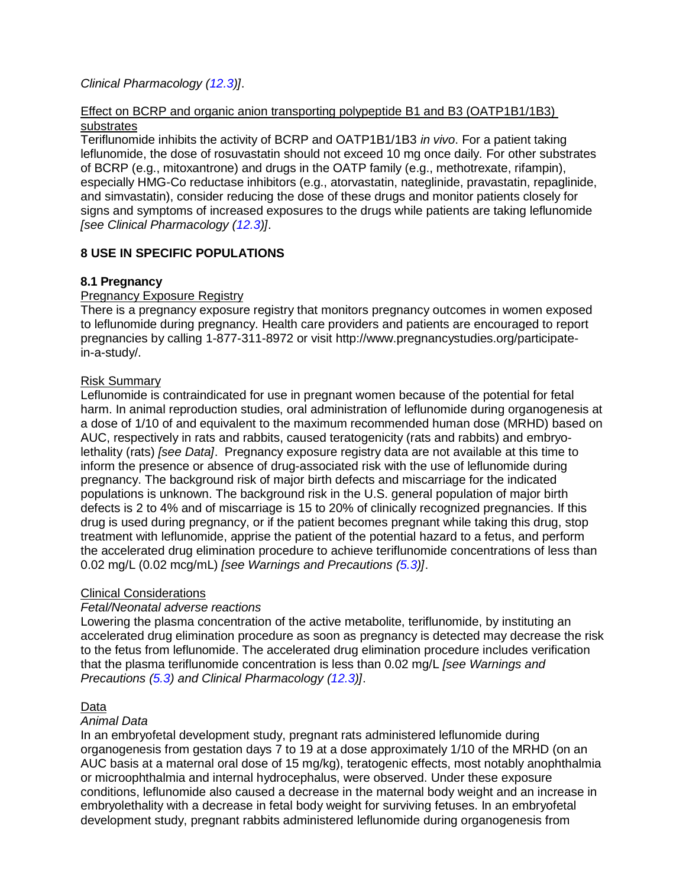## *Clinical Pharmacology [\(12.3\)](#page-14-2)]*.

## Effect on BCRP and organic anion transporting polypeptide B1 and B3 (OATP1B1/1B3) substrates

Teriflunomide inhibits the activity of BCRP and OATP1B1/1B3 *in vivo*. For a patient taking leflunomide, the dose of rosuvastatin should not exceed 10 mg once daily. For other substrates of BCRP (e.g., mitoxantrone) and drugs in the OATP family (e.g., methotrexate, rifampin), especially HMG-Co reductase inhibitors (e.g., atorvastatin, nateglinide, pravastatin, repaglinide, and simvastatin), consider reducing the dose of these drugs and monitor patients closely for signs and symptoms of increased exposures to the drugs while patients are taking leflunomide *[see Clinical Pharmacology [\(12.3\)](#page-14-2)]*.

## <span id="page-11-1"></span>**8 USE IN SPECIFIC POPULATIONS**

## <span id="page-11-0"></span>**8.1 Pregnancy**

## Pregnancy Exposure Registry

There is a pregnancy exposure registry that monitors pregnancy outcomes in women exposed to leflunomide during pregnancy. Health care providers and patients are encouraged to report pregnancies by calling 1-877-311-8972 or visit http://www.pregnancystudies.org/participatein-a-study/.

## Risk Summary

Leflunomide is contraindicated for use in pregnant women because of the potential for fetal harm. In animal reproduction studies, oral administration of leflunomide during organogenesis at a dose of 1/10 of and equivalent to the maximum recommended human dose (MRHD) based on AUC, respectively in rats and rabbits, caused teratogenicity (rats and rabbits) and embryolethality (rats) *[see Data]*. Pregnancy exposure registry data are not available at this time to inform the presence or absence of drug-associated risk with the use of leflunomide during pregnancy. The background risk of major birth defects and miscarriage for the indicated populations is unknown. The background risk in the U.S. general population of major birth defects is 2 to 4% and of miscarriage is 15 to 20% of clinically recognized pregnancies. If this drug is used during pregnancy, or if the patient becomes pregnant while taking this drug, stop treatment with leflunomide, apprise the patient of the potential hazard to a fetus, and perform the accelerated drug elimination procedure to achieve teriflunomide concentrations of less than 0.02 mg/L (0.02 mcg/mL) *[see Warnings and Precautions [\(5.3\)](#page-4-0)]*.

## Clinical Considerations

## *Fetal/Neonatal adverse reactions*

Lowering the plasma concentration of the active metabolite, teriflunomide, by instituting an accelerated drug elimination procedure as soon as pregnancy is detected may decrease the risk to the fetus from leflunomide. The accelerated drug elimination procedure includes verification that the plasma teriflunomide concentration is less than 0.02 mg/L *[see Warnings and Precautions [\(5.3\)](#page-4-0) and Clinical Pharmacology [\(12.3\)](#page-14-2)]*.

## Data

#### *Animal Data*

In an embryofetal development study, pregnant rats administered leflunomide during organogenesis from gestation days 7 to 19 at a dose approximately 1/10 of the MRHD (on an AUC basis at a maternal oral dose of 15 mg/kg), teratogenic effects, most notably anophthalmia or microophthalmia and internal hydrocephalus, were observed. Under these exposure conditions, leflunomide also caused a decrease in the maternal body weight and an increase in embryolethality with a decrease in fetal body weight for surviving fetuses. In an embryofetal development study, pregnant rabbits administered leflunomide during organogenesis from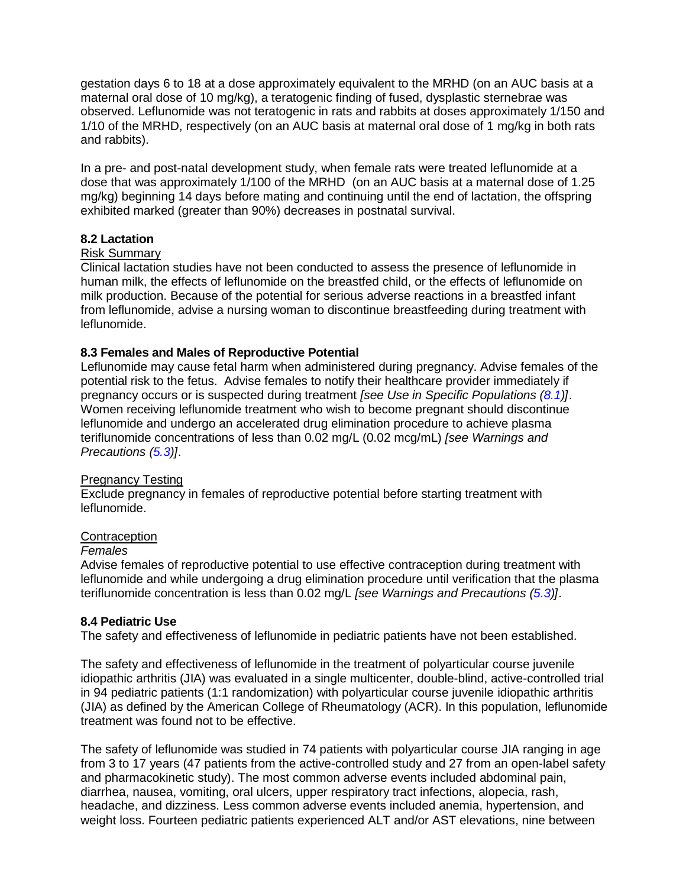gestation days 6 to 18 at a dose approximately equivalent to the MRHD (on an AUC basis at a maternal oral dose of 10 mg/kg), a teratogenic finding of fused, dysplastic sternebrae was observed. Leflunomide was not teratogenic in rats and rabbits at doses approximately 1/150 and 1/10 of the MRHD, respectively (on an AUC basis at maternal oral dose of 1 mg/kg in both rats and rabbits).

In a pre- and post-natal development study, when female rats were treated leflunomide at a dose that was approximately 1/100 of the MRHD (on an AUC basis at a maternal dose of 1.25 mg/kg) beginning 14 days before mating and continuing until the end of lactation, the offspring exhibited marked (greater than 90%) decreases in postnatal survival.

### <span id="page-12-1"></span>**8.2 Lactation**

#### Risk Summary

Clinical lactation studies have not been conducted to assess the presence of leflunomide in human milk, the effects of leflunomide on the breastfed child, or the effects of leflunomide on milk production. Because of the potential for serious adverse reactions in a breastfed infant from leflunomide, advise a nursing woman to discontinue breastfeeding during treatment with leflunomide.

### <span id="page-12-0"></span>**8.3 Females and Males of Reproductive Potential**

Leflunomide may cause fetal harm when administered during pregnancy. Advise females of the potential risk to the fetus. Advise females to notify their healthcare provider immediately if pregnancy occurs or is suspected during treatment *[see Use in Specific Populations [\(8.1\)](#page-11-0)]*. Women receiving leflunomide treatment who wish to become pregnant should discontinue leflunomide and undergo an accelerated drug elimination procedure to achieve plasma teriflunomide concentrations of less than 0.02 mg/L (0.02 mcg/mL) *[see Warnings and Precautions [\(5.3\)](#page-4-0)]*.

#### Pregnancy Testing

Exclude pregnancy in females of reproductive potential before starting treatment with leflunomide.

#### **Contraception**

#### *Females*

Advise females of reproductive potential to use effective contraception during treatment with leflunomide and while undergoing a drug elimination procedure until verification that the plasma teriflunomide concentration is less than 0.02 mg/L *[see Warnings and Precautions [\(5.3\)](#page-4-0)]*.

#### <span id="page-12-2"></span>**8.4 Pediatric Use**

The safety and effectiveness of leflunomide in pediatric patients have not been established.

The safety and effectiveness of leflunomide in the treatment of polyarticular course juvenile idiopathic arthritis (JIA) was evaluated in a single multicenter, double-blind, active-controlled trial in 94 pediatric patients (1:1 randomization) with polyarticular course juvenile idiopathic arthritis (JIA) as defined by the American College of Rheumatology (ACR). In this population, leflunomide treatment was found not to be effective.

The safety of leflunomide was studied in 74 patients with polyarticular course JIA ranging in age from 3 to 17 years (47 patients from the active-controlled study and 27 from an open-label safety and pharmacokinetic study). The most common adverse events included abdominal pain, diarrhea, nausea, vomiting, oral ulcers, upper respiratory tract infections, alopecia, rash, headache, and dizziness. Less common adverse events included anemia, hypertension, and weight loss. Fourteen pediatric patients experienced ALT and/or AST elevations, nine between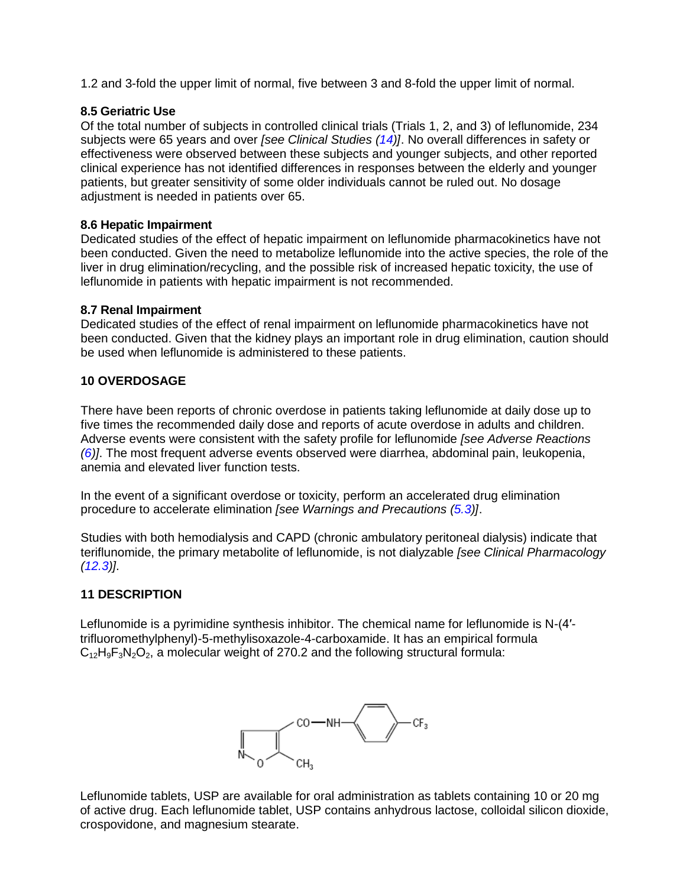1.2 and 3-fold the upper limit of normal, five between 3 and 8-fold the upper limit of normal.

## <span id="page-13-1"></span>**8.5 Geriatric Use**

Of the total number of subjects in controlled clinical trials (Trials 1, 2, and 3) of leflunomide, 234 subjects were 65 years and over *[see Clinical Studies [\(14\)](#page-16-2)]*. No overall differences in safety or effectiveness were observed between these subjects and younger subjects, and other reported clinical experience has not identified differences in responses between the elderly and younger patients, but greater sensitivity of some older individuals cannot be ruled out. No dosage adjustment is needed in patients over 65.

#### <span id="page-13-0"></span>**8.6 Hepatic Impairment**

Dedicated studies of the effect of hepatic impairment on leflunomide pharmacokinetics have not been conducted. Given the need to metabolize leflunomide into the active species, the role of the liver in drug elimination/recycling, and the possible risk of increased hepatic toxicity, the use of leflunomide in patients with hepatic impairment is not recommended.

### <span id="page-13-2"></span>**8.7 Renal Impairment**

Dedicated studies of the effect of renal impairment on leflunomide pharmacokinetics have not been conducted. Given that the kidney plays an important role in drug elimination, caution should be used when leflunomide is administered to these patients.

### <span id="page-13-3"></span>**10 OVERDOSAGE**

There have been reports of chronic overdose in patients taking leflunomide at daily dose up to five times the recommended daily dose and reports of acute overdose in adults and children. Adverse events were consistent with the safety profile for leflunomide *[see Adverse Reactions [\(6\)](#page-6-6)]*. The most frequent adverse events observed were diarrhea, abdominal pain, leukopenia, anemia and elevated liver function tests.

In the event of a significant overdose or toxicity, perform an accelerated drug elimination procedure to accelerate elimination *[see Warnings and Precautions [\(5.3\)](#page-4-0)]*.

Studies with both hemodialysis and CAPD (chronic ambulatory peritoneal dialysis) indicate that teriflunomide, the primary metabolite of leflunomide, is not dialyzable *[see Clinical Pharmacology [\(12.3\)](#page-14-2)]*.

## <span id="page-13-4"></span>**11 DESCRIPTION**

Leflunomide is a pyrimidine synthesis inhibitor. The chemical name for leflunomide is N-(4′ trifluoromethylphenyl)-5-methylisoxazole-4-carboxamide. It has an empirical formula  $C_{12}H_9F_3N_2O_2$ , a molecular weight of 270.2 and the following structural formula:



Leflunomide tablets, USP are available for oral administration as tablets containing 10 or 20 mg of active drug. Each leflunomide tablet, USP contains anhydrous lactose, colloidal silicon dioxide, crospovidone, and magnesium stearate.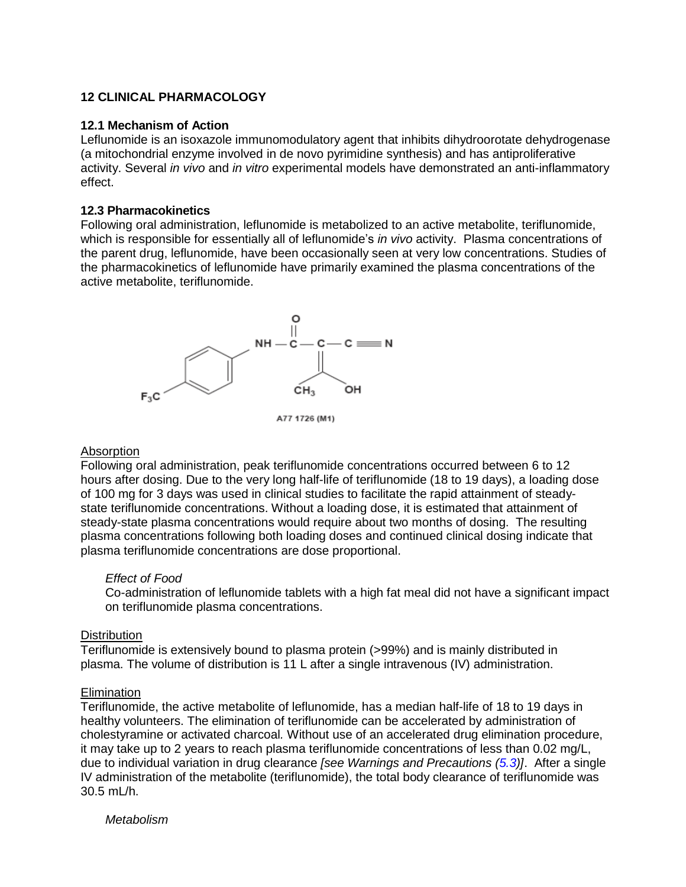## <span id="page-14-0"></span>**12 CLINICAL PHARMACOLOGY**

#### <span id="page-14-1"></span>**12.1 Mechanism of Action**

Leflunomide is an isoxazole immunomodulatory agent that inhibits dihydroorotate dehydrogenase (a mitochondrial enzyme involved in de novo pyrimidine synthesis) and has antiproliferative activity. Several *in vivo* and *in vitro* experimental models have demonstrated an anti-inflammatory effect.

#### <span id="page-14-2"></span>**12.3 Pharmacokinetics**

Following oral administration, leflunomide is metabolized to an active metabolite, teriflunomide, which is responsible for essentially all of leflunomide's *in vivo* activity. Plasma concentrations of the parent drug, leflunomide, have been occasionally seen at very low concentrations. Studies of the pharmacokinetics of leflunomide have primarily examined the plasma concentrations of the active metabolite, teriflunomide.



A77 1726 (M1)

#### Absorption

Following oral administration, peak teriflunomide concentrations occurred between 6 to 12 hours after dosing. Due to the very long half-life of teriflunomide (18 to 19 days), a loading dose of 100 mg for 3 days was used in clinical studies to facilitate the rapid attainment of steadystate teriflunomide concentrations. Without a loading dose, it is estimated that attainment of steady-state plasma concentrations would require about two months of dosing. The resulting plasma concentrations following both loading doses and continued clinical dosing indicate that plasma teriflunomide concentrations are dose proportional.

#### *Effect of Food*

Co-administration of leflunomide tablets with a high fat meal did not have a significant impact on teriflunomide plasma concentrations.

#### **Distribution**

Teriflunomide is extensively bound to plasma protein (>99%) and is mainly distributed in plasma. The volume of distribution is 11 L after a single intravenous (IV) administration.

#### **Elimination**

Teriflunomide, the active metabolite of leflunomide, has a median half-life of 18 to 19 days in healthy volunteers. The elimination of teriflunomide can be accelerated by administration of cholestyramine or activated charcoal*.* Without use of an accelerated drug elimination procedure, it may take up to 2 years to reach plasma teriflunomide concentrations of less than 0.02 mg/L, due to individual variation in drug clearance *[see Warnings and Precautions [\(5.3\)](#page-4-0)]*. After a single IV administration of the metabolite (teriflunomide), the total body clearance of teriflunomide was 30.5 mL/h.

*Metabolism*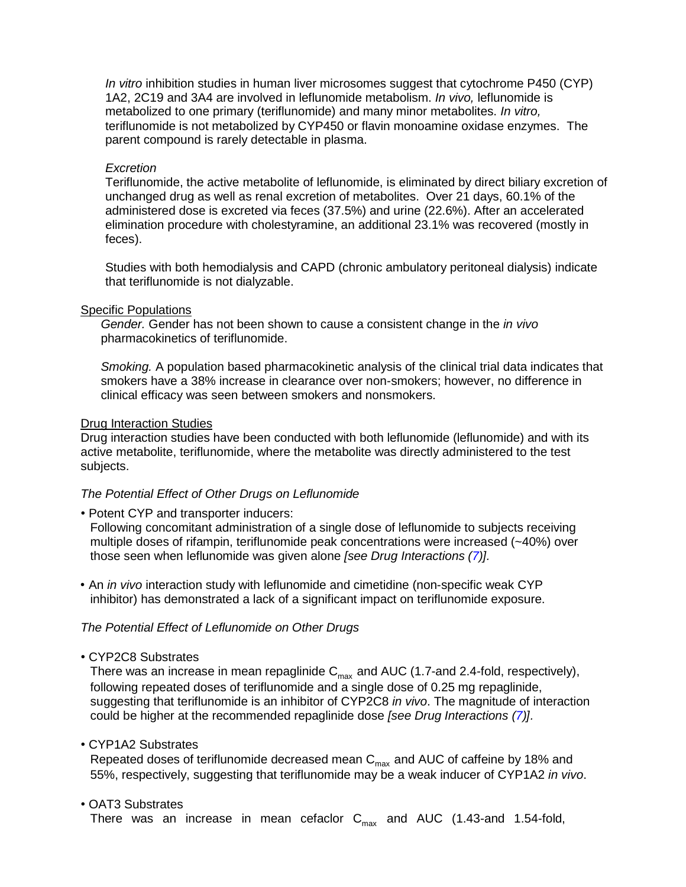*In vitro* inhibition studies in human liver microsomes suggest that cytochrome P450 (CYP) 1A2, 2C19 and 3A4 are involved in leflunomide metabolism. *In vivo,* leflunomide is metabolized to one primary (teriflunomide) and many minor metabolites. *In vitro,*  teriflunomide is not metabolized by CYP450 or flavin monoamine oxidase enzymes. The parent compound is rarely detectable in plasma.

#### *Excretion*

Teriflunomide, the active metabolite of leflunomide, is eliminated by direct biliary excretion of unchanged drug as well as renal excretion of metabolites. Over 21 days, 60.1% of the administered dose is excreted via feces (37.5%) and urine (22.6%). After an accelerated elimination procedure with cholestyramine, an additional 23.1% was recovered (mostly in feces).

Studies with both hemodialysis and CAPD (chronic ambulatory peritoneal dialysis) indicate that teriflunomide is not dialyzable.

#### Specific Populations

*Gender.* Gender has not been shown to cause a consistent change in the *in vivo* pharmacokinetics of teriflunomide.

*Smoking.* A population based pharmacokinetic analysis of the clinical trial data indicates that smokers have a 38% increase in clearance over non-smokers; however, no difference in clinical efficacy was seen between smokers and nonsmokers.

#### Drug Interaction Studies

Drug interaction studies have been conducted with both leflunomide (leflunomide) and with its active metabolite, teriflunomide, where the metabolite was directly administered to the test subjects.

#### *The Potential Effect of Other Drugs on Leflunomide*

• Potent CYP and transporter inducers:

Following concomitant administration of a single dose of leflunomide to subjects receiving multiple doses of rifampin, teriflunomide peak concentrations were increased (~40%) over those seen when leflunomide was given alone *[see Drug Interactions [\(7\)](#page-10-0)].*

• An *in vivo* interaction study with leflunomide and cimetidine (non-specific weak CYP inhibitor) has demonstrated a lack of a significant impact on teriflunomide exposure.

### *The Potential Effect of Leflunomide on Other Drugs*

• CYP2C8 Substrates

There was an increase in mean repaglinide  $C_{\text{max}}$  and AUC (1.7-and 2.4-fold, respectively), following repeated doses of teriflunomide and a single dose of 0.25 mg repaglinide, suggesting that teriflunomide is an inhibitor of CYP2C8 *in vivo*. The magnitude of interaction could be higher at the recommended repaglinide dose *[see Drug Interactions [\(7\)](#page-10-0)].*

• CYP1A2 Substrates

Repeated doses of teriflunomide decreased mean  $C_{\text{max}}$  and AUC of caffeine by 18% and 55%, respectively, suggesting that teriflunomide may be a weak inducer of CYP1A2 *in vivo*.

• OAT3 Substrates

There was an increase in mean cefaclor  $C_{\text{max}}$  and AUC (1.43-and 1.54-fold,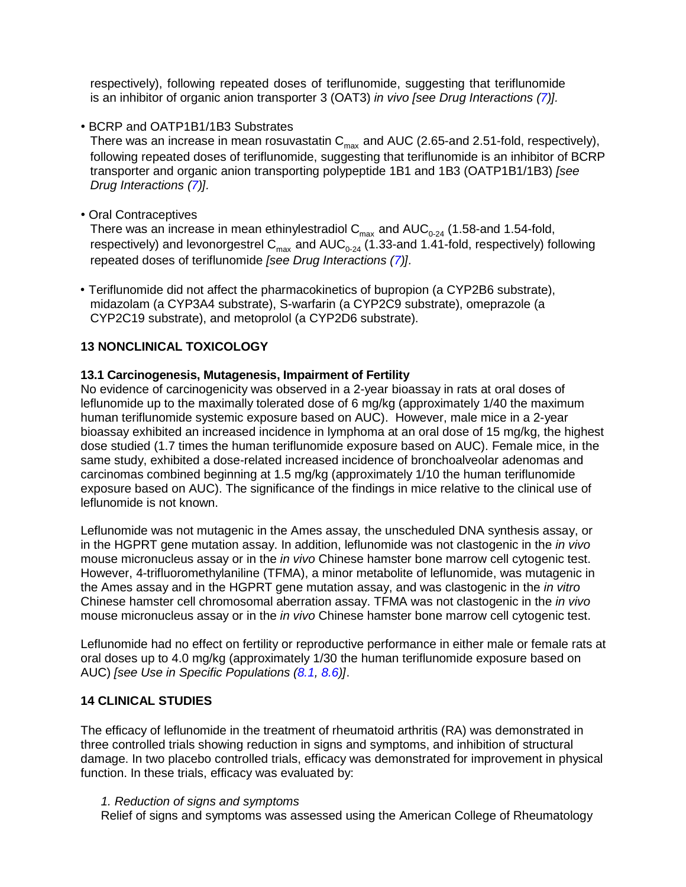respectively), following repeated doses of teriflunomide, suggesting that teriflunomide is an inhibitor of organic anion transporter 3 (OAT3) *in vivo [see Drug Interactions [\(7\)](#page-10-0)].*

• BCRP and OATP1B1/1B3 Substrates

There was an increase in mean rosuvastatin  $C_{\text{max}}$  and AUC (2.65-and 2.51-fold, respectively), following repeated doses of teriflunomide, suggesting that teriflunomide is an inhibitor of BCRP transporter and organic anion transporting polypeptide 1B1 and 1B3 (OATP1B1/1B3) *[see Drug Interactions [\(7\)](#page-10-0)].*

• Oral Contraceptives

There was an increase in mean ethinylestradiol  $C_{\text{max}}$  and  $AUC_{0-24}$  (1.58-and 1.54-fold, respectively) and levonorgestrel C<sub>max</sub> and AUC<sub>0-24</sub> (1.33-and 1.41-fold, respectively) following repeated doses of teriflunomide *[see Drug Interactions [\(7\)](#page-10-0)].*

• Teriflunomide did not affect the pharmacokinetics of bupropion (a CYP2B6 substrate), midazolam (a CYP3A4 substrate), S-warfarin (a CYP2C9 substrate), omeprazole (a CYP2C19 substrate), and metoprolol (a CYP2D6 substrate).

## <span id="page-16-0"></span>**13 NONCLINICAL TOXICOLOGY**

## <span id="page-16-1"></span>**13.1 Carcinogenesis, Mutagenesis, Impairment of Fertility**

No evidence of carcinogenicity was observed in a 2-year bioassay in rats at oral doses of leflunomide up to the maximally tolerated dose of 6 mg/kg (approximately 1/40 the maximum human teriflunomide systemic exposure based on AUC). However, male mice in a 2-year bioassay exhibited an increased incidence in lymphoma at an oral dose of 15 mg/kg, the highest dose studied (1.7 times the human teriflunomide exposure based on AUC). Female mice, in the same study, exhibited a dose-related increased incidence of bronchoalveolar adenomas and carcinomas combined beginning at 1.5 mg/kg (approximately 1/10 the human teriflunomide exposure based on AUC). The significance of the findings in mice relative to the clinical use of leflunomide is not known.

Leflunomide was not mutagenic in the Ames assay, the unscheduled DNA synthesis assay, or in the HGPRT gene mutation assay. In addition, leflunomide was not clastogenic in the *in vivo* mouse micronucleus assay or in the *in vivo* Chinese hamster bone marrow cell cytogenic test. However, 4-trifluoromethylaniline (TFMA), a minor metabolite of leflunomide, was mutagenic in the Ames assay and in the HGPRT gene mutation assay, and was clastogenic in the *in vitro* Chinese hamster cell chromosomal aberration assay. TFMA was not clastogenic in the *in vivo* mouse micronucleus assay or in the *in vivo* Chinese hamster bone marrow cell cytogenic test.

Leflunomide had no effect on fertility or reproductive performance in either male or female rats at oral doses up to 4.0 mg/kg (approximately 1/30 the human teriflunomide exposure based on AUC) *[see Use in Specific Populations [\(8.1,](#page-11-0) [8.6\)](#page-13-0)]*.

## <span id="page-16-2"></span>**14 CLINICAL STUDIES**

The efficacy of leflunomide in the treatment of rheumatoid arthritis (RA) was demonstrated in three controlled trials showing reduction in signs and symptoms, and inhibition of structural damage. In two placebo controlled trials, efficacy was demonstrated for improvement in physical function. In these trials, efficacy was evaluated by:

## *1. Reduction of signs and symptoms*

Relief of signs and symptoms was assessed using the American College of Rheumatology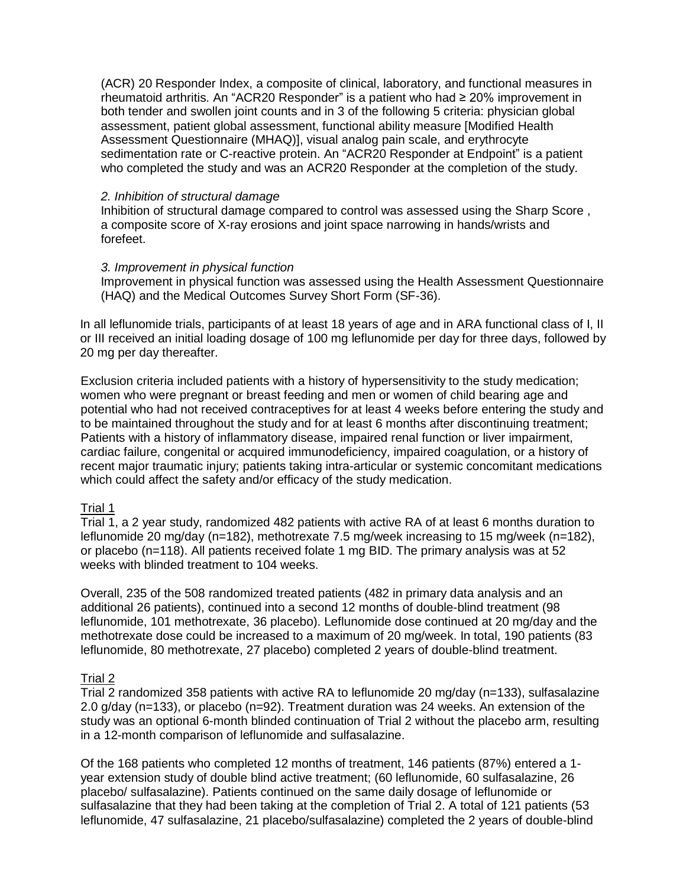(ACR) 20 Responder Index, a composite of clinical, laboratory, and functional measures in rheumatoid arthritis. An "ACR20 Responder" is a patient who had ≥ 20% improvement in both tender and swollen joint counts and in 3 of the following 5 criteria: physician global assessment, patient global assessment, functional ability measure [Modified Health Assessment Questionnaire (MHAQ)], visual analog pain scale, and erythrocyte sedimentation rate or C-reactive protein. An "ACR20 Responder at Endpoint" is a patient who completed the study and was an ACR20 Responder at the completion of the study.

#### *2. Inhibition of structural damage*

Inhibition of structural damage compared to control was assessed using the Sharp Score , a composite score of X-ray erosions and joint space narrowing in hands/wrists and forefeet.

#### *3. Improvement in physical function*

Improvement in physical function was assessed using the Health Assessment Questionnaire (HAQ) and the Medical Outcomes Survey Short Form (SF-36).

In all leflunomide trials, participants of at least 18 years of age and in ARA functional class of I, II or III received an initial loading dosage of 100 mg leflunomide per day for three days, followed by 20 mg per day thereafter.

Exclusion criteria included patients with a history of hypersensitivity to the study medication; women who were pregnant or breast feeding and men or women of child bearing age and potential who had not received contraceptives for at least 4 weeks before entering the study and to be maintained throughout the study and for at least 6 months after discontinuing treatment; Patients with a history of inflammatory disease, impaired renal function or liver impairment, cardiac failure, congenital or acquired immunodeficiency, impaired coagulation, or a history of recent major traumatic injury; patients taking intra-articular or systemic concomitant medications which could affect the safety and/or efficacy of the study medication.

## Trial 1

Trial 1, a 2 year study, randomized 482 patients with active RA of at least 6 months duration to leflunomide 20 mg/day (n=182), methotrexate 7.5 mg/week increasing to 15 mg/week (n=182), or placebo (n=118). All patients received folate 1 mg BID. The primary analysis was at 52 weeks with blinded treatment to 104 weeks.

Overall, 235 of the 508 randomized treated patients (482 in primary data analysis and an additional 26 patients), continued into a second 12 months of double-blind treatment (98 leflunomide, 101 methotrexate, 36 placebo). Leflunomide dose continued at 20 mg/day and the methotrexate dose could be increased to a maximum of 20 mg/week. In total, 190 patients (83 leflunomide, 80 methotrexate, 27 placebo) completed 2 years of double-blind treatment.

## Trial 2

Trial 2 randomized 358 patients with active RA to leflunomide 20 mg/day (n=133), sulfasalazine 2.0 g/day (n=133), or placebo (n=92). Treatment duration was 24 weeks. An extension of the study was an optional 6-month blinded continuation of Trial 2 without the placebo arm, resulting in a 12-month comparison of leflunomide and sulfasalazine.

Of the 168 patients who completed 12 months of treatment, 146 patients (87%) entered a 1 year extension study of double blind active treatment; (60 leflunomide, 60 sulfasalazine, 26 placebo/ sulfasalazine). Patients continued on the same daily dosage of leflunomide or sulfasalazine that they had been taking at the completion of Trial 2. A total of 121 patients (53 leflunomide, 47 sulfasalazine, 21 placebo/sulfasalazine) completed the 2 years of double-blind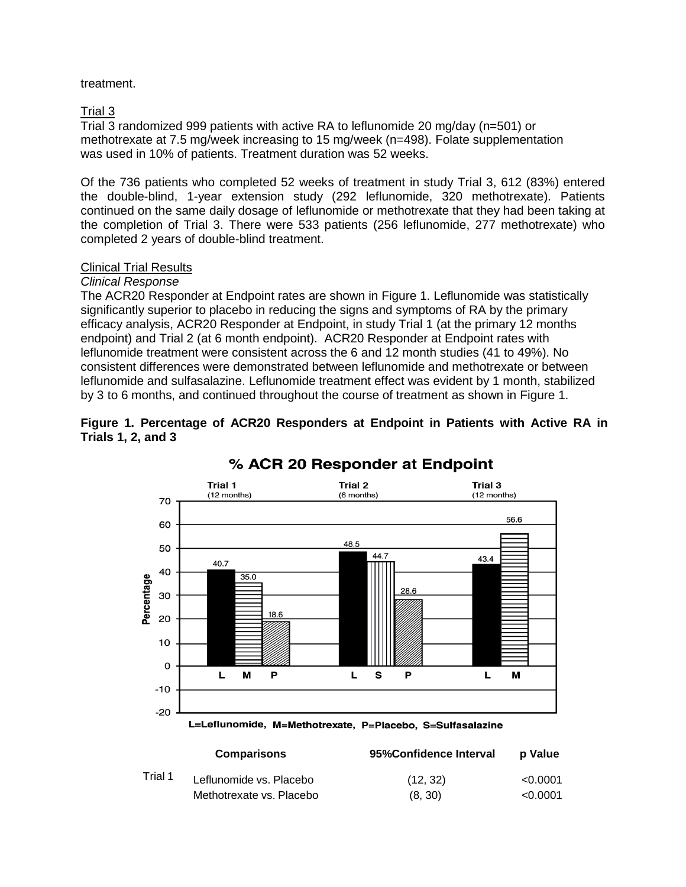## treatment.

## Trial 3

Trial 3 randomized 999 patients with active RA to leflunomide 20 mg/day (n=501) or methotrexate at 7.5 mg/week increasing to 15 mg/week (n=498). Folate supplementation was used in 10% of patients. Treatment duration was 52 weeks.

Of the 736 patients who completed 52 weeks of treatment in study Trial 3, 612 (83%) entered the double-blind, 1-year extension study (292 leflunomide, 320 methotrexate). Patients continued on the same daily dosage of leflunomide or methotrexate that they had been taking at the completion of Trial 3. There were 533 patients (256 leflunomide, 277 methotrexate) who completed 2 years of double-blind treatment.

## Clinical Trial Results

### *Clinical Response*

The ACR20 Responder at Endpoint rates are shown in Figure 1. Leflunomide was statistically significantly superior to placebo in reducing the signs and symptoms of RA by the primary efficacy analysis, ACR20 Responder at Endpoint, in study Trial 1 (at the primary 12 months endpoint) and Trial 2 (at 6 month endpoint). ACR20 Responder at Endpoint rates with leflunomide treatment were consistent across the 6 and 12 month studies (41 to 49%). No consistent differences were demonstrated between leflunomide and methotrexate or between leflunomide and sulfasalazine. Leflunomide treatment effect was evident by 1 month, stabilized by 3 to 6 months, and continued throughout the course of treatment as shown in Figure 1.

### **Figure 1. Percentage of ACR20 Responders at Endpoint in Patients with Active RA in Trials 1, 2, and 3**



# % ACR 20 Responder at Endpoint

L=Leflunomide, M=Methotrexate, P=Placebo, S=Sulfasalazine

|         | <b>Comparisons</b>       | 95% Confidence Interval | <b>p</b> Value |
|---------|--------------------------|-------------------------|----------------|
| Trial 1 | Leflunomide vs. Placebo  | (12, 32)                | < 0.0001       |
|         | Methotrexate vs. Placebo | (8, 30)                 | < 0.0001       |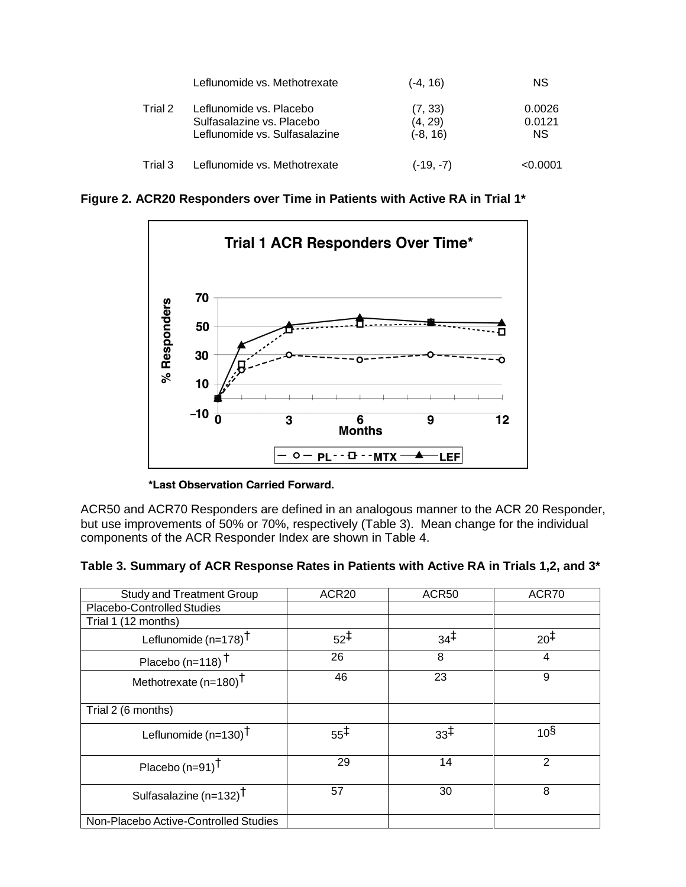|         | Leflunomide vs. Methotrexate                                                          | (-4, 16)                         | <b>NS</b>               |
|---------|---------------------------------------------------------------------------------------|----------------------------------|-------------------------|
| Trial 2 | Leflunomide vs. Placebo<br>Sulfasalazine vs. Placebo<br>Leflunomide vs. Sulfasalazine | (7, 33)<br>(4, 29)<br>$(-8, 16)$ | 0.0026<br>0.0121<br>NS. |
| Trial 3 | Leflunomide vs. Methotrexate                                                          | $(-19, -7)$                      | < 0.0001                |

**Figure 2. ACR20 Responders over Time in Patients with Active RA in Trial 1\***



\*Last Observation Carried Forward.

ACR50 and ACR70 Responders are defined in an analogous manner to the ACR 20 Responder, but use improvements of 50% or 70%, respectively (Table 3). Mean change for the individual components of the ACR Responder Index are shown in Table 4.

**Table 3. Summary of ACR Response Rates in Patients with Active RA in Trials 1,2, and 3\***

| <b>Study and Treatment Group</b>      | ACR <sub>20</sub> | ACR50           | ACR70           |
|---------------------------------------|-------------------|-----------------|-----------------|
| Placebo-Controlled Studies            |                   |                 |                 |
| Trial 1 (12 months)                   |                   |                 |                 |
| Leflunomide $(n=178)^{\dagger}$       | $52^{\ddagger}$   | $34^{\ddagger}$ | $20^{1}$        |
| Placebo (n=118) $†$                   | 26                | 8               | 4               |
| Methotrexate $(n=180)^{\dagger}$      | 46                | 23              | 9               |
| Trial 2 (6 months)                    |                   |                 |                 |
| Leflunomide $(n=130)^{\dagger}$       | $55^{\ddagger}$   | $33^{\ddagger}$ | 10 <sup>§</sup> |
| Placebo $(n=91)^{\dagger}$            | 29                | 14              | $\overline{2}$  |
| Sulfasalazine (n=132) $^{\dagger}$    | 57                | 30              | 8               |
| Non-Placebo Active-Controlled Studies |                   |                 |                 |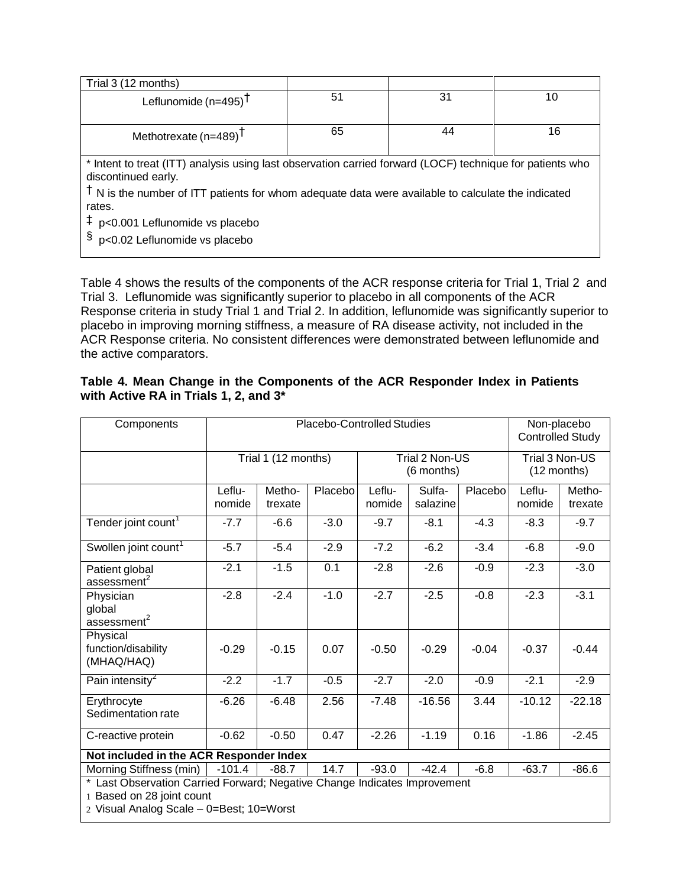| Trial 3 (12 months)                                                                                                              |    |    |    |
|----------------------------------------------------------------------------------------------------------------------------------|----|----|----|
| Leflunomide $(n=495)^T$                                                                                                          | 51 | 31 | 10 |
| Methotrexate ( $n=489$ ) <sup>T</sup>                                                                                            | 65 | 44 | 16 |
| * Intent to treat (ITT) analysis using last observation carried forward (LOCF) technique for patients who<br>discontinued early. |    |    |    |
| $\dagger$ N is the number of ITT patients for whom adequate data were available to calculate the indicated<br>rates.             |    |    |    |
| $\ddagger$ p<0.001 Leflunomide vs placebo                                                                                        |    |    |    |
| $\frac{1}{2}$ p<0.02 Leflunomide vs placebo                                                                                      |    |    |    |

Table 4 shows the results of the components of the ACR response criteria for Trial 1, Trial 2 and Trial 3. Leflunomide was significantly superior to placebo in all components of the ACR Response criteria in study Trial 1 and Trial 2. In addition, leflunomide was significantly superior to placebo in improving morning stiffness, a measure of RA disease activity, not included in the ACR Response criteria. No consistent differences were demonstrated between leflunomide and the active comparators.

|                                       | Table 4. Mean Change in the Components of the ACR Responder Index in Patients |  |  |  |
|---------------------------------------|-------------------------------------------------------------------------------|--|--|--|
| with Active RA in Trials 1, 2, and 3* |                                                                               |  |  |  |

| Components                                                                                                                                         |                  |                     | <b>Placebo-Controlled Studies</b> |                  |                              |         |                               | Non-placebo<br><b>Controlled Study</b> |
|----------------------------------------------------------------------------------------------------------------------------------------------------|------------------|---------------------|-----------------------------------|------------------|------------------------------|---------|-------------------------------|----------------------------------------|
|                                                                                                                                                    |                  | Trial 1 (12 months) |                                   |                  | Trial 2 Non-US<br>(6 months) |         | Trial 3 Non-US<br>(12 months) |                                        |
|                                                                                                                                                    | Leflu-<br>nomide | Metho-<br>trexate   | Placebo                           | Leflu-<br>nomide | Sulfa-<br>salazine           | Placebo | Leflu-<br>nomide              | Metho-<br>trexate                      |
| Tender joint count <sup>1</sup>                                                                                                                    | $-7.7$           | $-6.6$              | $-3.0$                            | $-9.7$           | $-8.1$                       | $-4.3$  | $-8.3$                        | $-9.7$                                 |
| Swollen joint count <sup>1</sup>                                                                                                                   | $-5.7$           | $-5.4$              | $-2.9$                            | $-7.2$           | $-6.2$                       | $-3.4$  | $-6.8$                        | $-9.0$                                 |
| Patient global<br>assessment <sup>2</sup>                                                                                                          | $-2.1$           | $-1.5$              | 0.1                               | $-2.8$           | $-2.6$                       | $-0.9$  | $-2.3$                        | $-3.0$                                 |
| Physician<br>global<br>$\overline{a}$ ssessment <sup>2</sup>                                                                                       | $-2.8$           | $-2.4$              | $-1.0$                            | $-2.7$           | $-2.5$                       | $-0.8$  | $-2.3$                        | $-3.1$                                 |
| Physical<br>function/disability<br>(MHAQ/HAQ)                                                                                                      | $-0.29$          | $-0.15$             | 0.07                              | $-0.50$          | $-0.29$                      | $-0.04$ | $-0.37$                       | $-0.44$                                |
| Pain intensity <sup>2</sup>                                                                                                                        | $-2.2$           | $-1.7$              | $-0.5$                            | $-2.7$           | $-2.0$                       | $-0.9$  | $-2.1$                        | $-2.9$                                 |
| Erythrocyte<br>Sedimentation rate                                                                                                                  | $-6.26$          | $-6.48$             | 2.56                              | $-7.48$          | $-16.56$                     | 3.44    | $-10.12$                      | $-22.18$                               |
| C-reactive protein                                                                                                                                 | $-0.62$          | $-0.50$             | 0.47                              | $-2.26$          | $-1.19$                      | 0.16    | $-1.86$                       | $-2.45$                                |
| Not included in the ACR Responder Index                                                                                                            |                  |                     |                                   |                  |                              |         |                               |                                        |
| Morning Stiffness (min)                                                                                                                            | $-101.4$         | $-88.7$             | 14.7                              | $-93.0$          | $-42.4$                      | $-6.8$  | $-63.7$                       | $-86.6$                                |
| * Last Observation Carried Forward; Negative Change Indicates Improvement<br>1 Based on 28 joint count<br>2 Visual Analog Scale - 0=Best; 10=Worst |                  |                     |                                   |                  |                              |         |                               |                                        |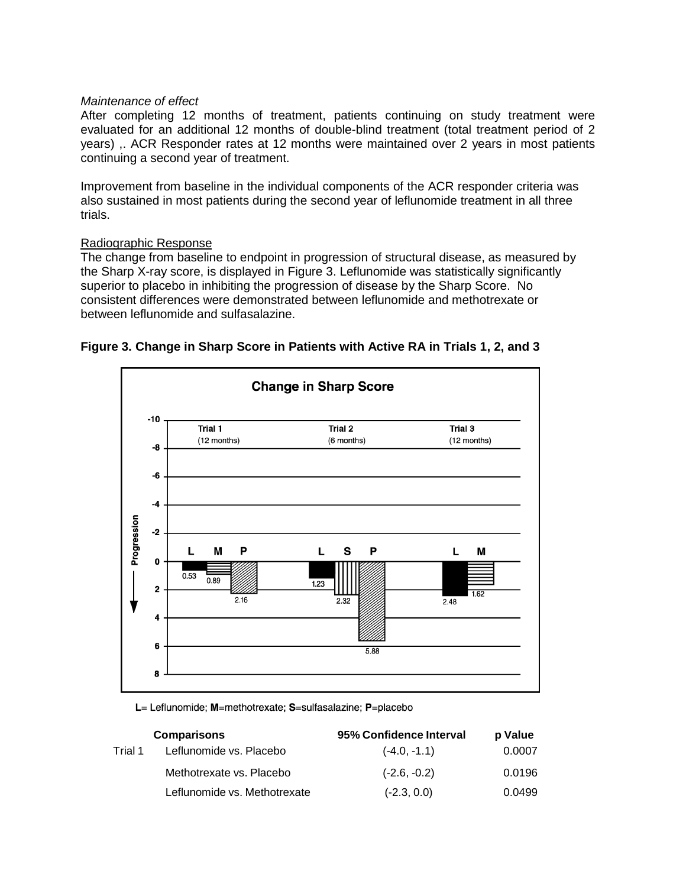#### *Maintenance of effect*

After completing 12 months of treatment, patients continuing on study treatment were evaluated for an additional 12 months of double-blind treatment (total treatment period of 2 years) ,. ACR Responder rates at 12 months were maintained over 2 years in most patients continuing a second year of treatment.

Improvement from baseline in the individual components of the ACR responder criteria was also sustained in most patients during the second year of leflunomide treatment in all three trials.

### Radiographic Response

The change from baseline to endpoint in progression of structural disease, as measured by the Sharp X-ray score, is displayed in Figure 3. Leflunomide was statistically significantly superior to placebo in inhibiting the progression of disease by the Sharp Score. No consistent differences were demonstrated between leflunomide and methotrexate or between leflunomide and sulfasalazine.



## **Figure 3. Change in Sharp Score in Patients with Active RA in Trials 1, 2, and 3**

L= Leflunomide; M=methotrexate; S=sulfasalazine; P=placebo

|         | <b>Comparisons</b>           | 95% Confidence Interval | p Value |
|---------|------------------------------|-------------------------|---------|
| Trial 1 | Leflunomide vs. Placebo      | $(-4.0, -1.1)$          | 0.0007  |
|         | Methotrexate vs. Placebo     | $(-2.6, -0.2)$          | 0.0196  |
|         | Leflunomide vs. Methotrexate | $(-2.3, 0.0)$           | 0.0499  |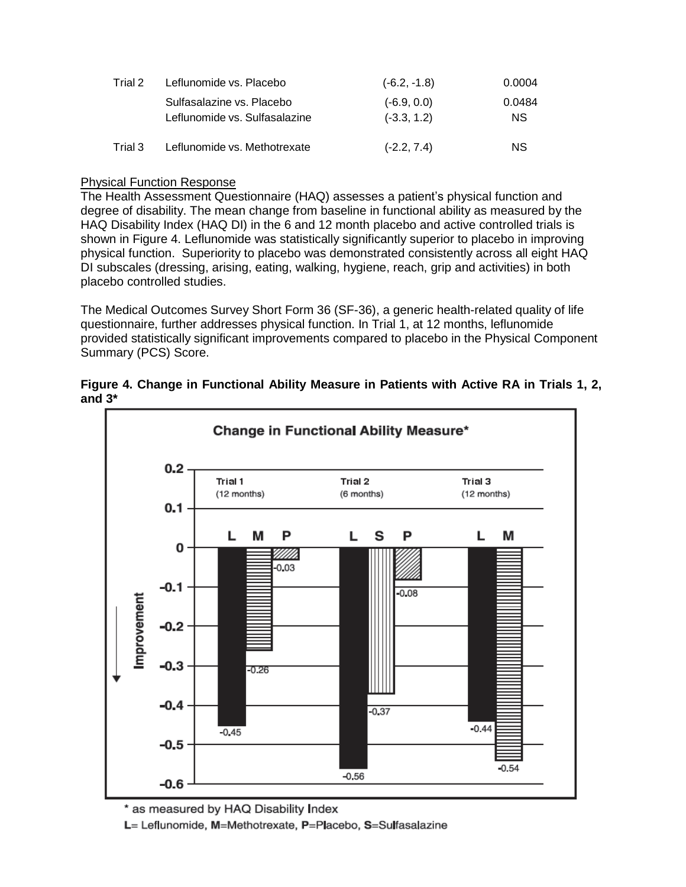| Trial 2 | Leflunomide vs. Placebo       | $(-6.2, -1.8)$ | 0.0004    |
|---------|-------------------------------|----------------|-----------|
|         | Sulfasalazine vs. Placebo     | $(-6.9, 0.0)$  | 0.0484    |
|         | Leflunomide vs. Sulfasalazine | $(-3.3, 1.2)$  | <b>NS</b> |
| Trial 3 | Leflunomide vs. Methotrexate  | $(-2.2, 7.4)$  | <b>NS</b> |

## Physical Function Response

The Health Assessment Questionnaire (HAQ) assesses a patient's physical function and degree of disability. The mean change from baseline in functional ability as measured by the HAQ Disability Index (HAQ DI) in the 6 and 12 month placebo and active controlled trials is shown in Figure 4. Leflunomide was statistically significantly superior to placebo in improving physical function. Superiority to placebo was demonstrated consistently across all eight HAQ DI subscales (dressing, arising, eating, walking, hygiene, reach, grip and activities) in both placebo controlled studies.

The Medical Outcomes Survey Short Form 36 (SF-36), a generic health-related quality of life questionnaire, further addresses physical function. In Trial 1, at 12 months, leflunomide provided statistically significant improvements compared to placebo in the Physical Component Summary (PCS) Score.



**Figure 4. Change in Functional Ability Measure in Patients with Active RA in Trials 1, 2, and 3\***

\* as measured by HAQ Disability Index L= Leflunomide, M=Methotrexate, P=Placebo, S=Sulfasalazine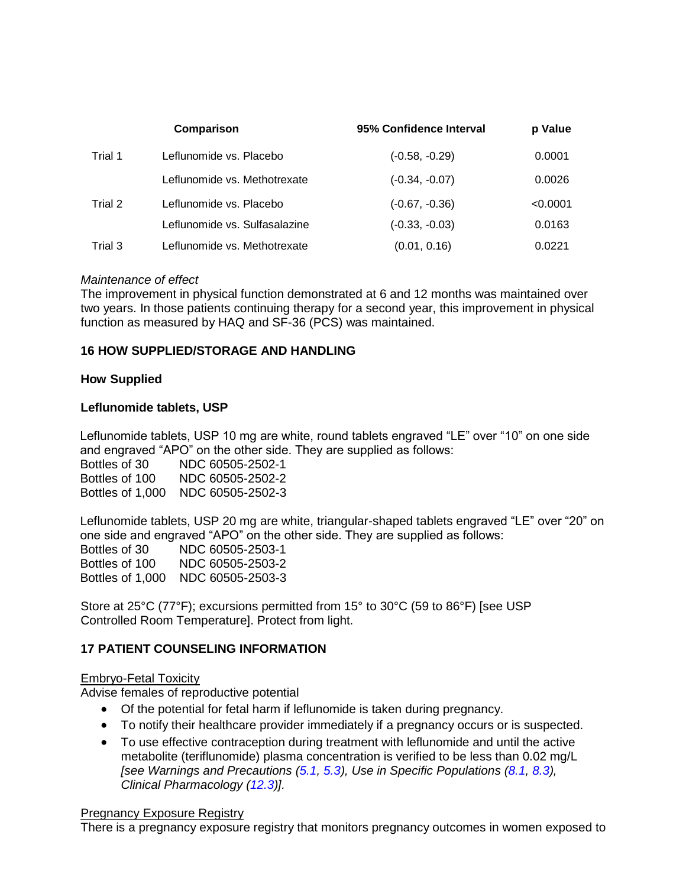|         | Comparison                    | 95% Confidence Interval | p Value  |
|---------|-------------------------------|-------------------------|----------|
| Trial 1 | Leflunomide vs. Placebo       | $(-0.58, -0.29)$        | 0.0001   |
|         | Leflunomide vs. Methotrexate  | $(-0.34, -0.07)$        | 0.0026   |
| Trial 2 | Leflunomide vs. Placebo       | $(-0.67, -0.36)$        | < 0.0001 |
|         | Leflunomide vs. Sulfasalazine | $(-0.33, -0.03)$        | 0.0163   |
| Trial 3 | Leflunomide vs. Methotrexate  | (0.01, 0.16)            | 0.0221   |

### *Maintenance of effect*

The improvement in physical function demonstrated at 6 and 12 months was maintained over two years. In those patients continuing therapy for a second year, this improvement in physical function as measured by HAQ and SF-36 (PCS) was maintained.

## <span id="page-23-1"></span>**16 HOW SUPPLIED/STORAGE AND HANDLING**

#### **How Supplied**

### **Leflunomide tablets, USP**

Leflunomide tablets, USP 10 mg are white, round tablets engraved "LE" over "10" on one side and engraved "APO" on the other side. They are supplied as follows:

Bottles of 30 NDC 60505-2502-1 Bottles of 100 NDC 60505-2502-2 Bottles of 1,000 NDC 60505-2502-3

Leflunomide tablets, USP 20 mg are white, triangular-shaped tablets engraved "LE" over "20" on one side and engraved "APO" on the other side. They are supplied as follows: Bottles of 30 NDC 60505-2503-1 Bottles of 100 NDC 60505-2503-2 Bottles of 1,000 NDC 60505-2503-3

Store at 25°C (77°F); excursions permitted from 15° to 30°C (59 to 86°F) [see USP Controlled Room Temperature]. Protect from light.

## <span id="page-23-0"></span>**17 PATIENT COUNSELING INFORMATION**

#### Embryo-Fetal Toxicity

Advise females of reproductive potential

- Of the potential for fetal harm if leflunomide is taken during pregnancy.
- To notify their healthcare provider immediately if a pregnancy occurs or is suspected.
- To use effective contraception during treatment with leflunomide and until the active metabolite (teriflunomide) plasma concentration is verified to be less than 0.02 mg/L *[see Warnings and Precautions [\(5.1,](#page-3-0) [5.3\)](#page-4-0), Use in Specific Populations [\(8.1,](#page-11-0) [8.3\)](#page-12-0), Clinical Pharmacology [\(12.3\)](#page-14-2)].*

#### Pregnancy Exposure Registry

There is a pregnancy exposure registry that monitors pregnancy outcomes in women exposed to